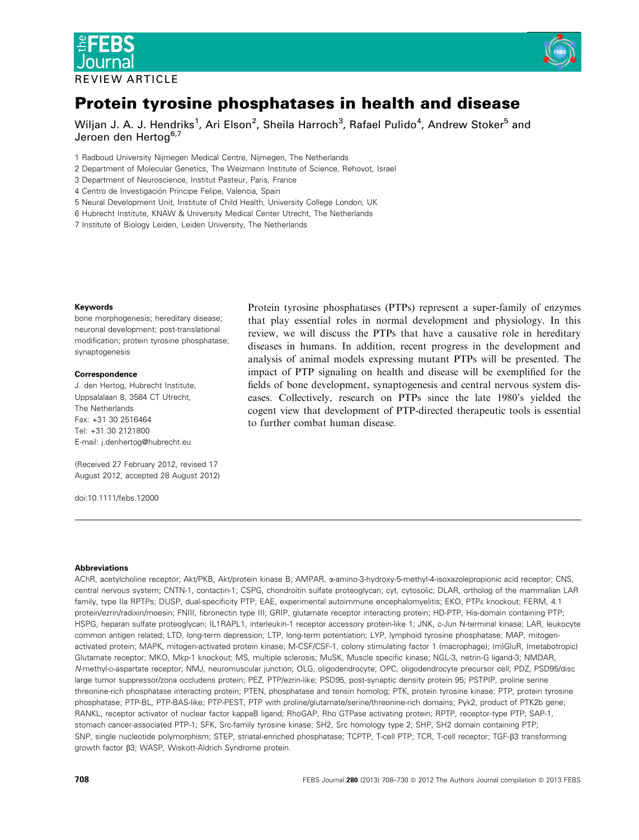





# Protein tyrosine phosphatases in health and disease

Wiljan J. A. J. Hendriks<sup>1</sup>, Ari Elson<sup>2</sup>, Sheila Harroch<sup>3</sup>, Rafael Pulido<sup>4</sup>, Andrew Stoker<sup>5</sup> and Jeroen den Hertog<sup>6,7</sup>

- 1 Radboud University Nijmegen Medical Centre, Nijmegen, The Netherlands
- 2 Department of Molecular Genetics, The Weizmann Institute of Science, Rehovot, Israel
- 3 Department of Neuroscience, Institut Pasteur, Paris, France
- 4 Centro de Investigación Príncipe Felipe, Valencia, Spain
- 5 Neural Development Unit, Institute of Child Health, University College London, UK
- 6 Hubrecht Institute, KNAW & University Medical Center Utrecht, The Netherlands
- 7 Institute of Biology Leiden, Leiden University, The Netherlands

#### Keywords

bone morphogenesis; hereditary disease; neuronal development; post-translational modification; protein tyrosine phosphatase; synaptogenesis

#### Correspondence

J. den Hertog, Hubrecht Institute, Uppsalalaan 8, 3584 CT Utrecht, The Netherlands Fax: +31 30 2516464 Tel: +31 30 2121800 E-mail: j.denhertog@hubrecht.eu

(Received 27 February 2012, revised 17 August 2012, accepted 28 August 2012)

doi:10.1111/febs.12000

Protein tyrosine phosphatases (PTPs) represent a super-family of enzymes that play essential roles in normal development and physiology. In this review, we will discuss the PTPs that have a causative role in hereditary diseases in humans. In addition, recent progress in the development and analysis of animal models expressing mutant PTPs will be presented. The impact of PTP signaling on health and disease will be exemplified for the fields of bone development, synaptogenesis and central nervous system diseases. Collectively, research on PTPs since the late 1980's yielded the cogent view that development of PTP-directed therapeutic tools is essential to further combat human disease.

#### Abbreviations

AChR, acetylcholine receptor; Akt/PKB, Akt/protein kinase B; AMPAR, α-amino-3-hydroxy-5-methyl-4-isoxazolepropionic acid receptor; CNS, central nervous system; CNTN-1, contactin-1; CSPG, chondroitin sulfate proteoglycan; cyt, cytosolic; DLAR, ortholog of the mammalian LAR family, type IIa RPTPs; DUSP, dual-specificity PTP; EAE, experimental autoimmune encephalomyelitis; EKO, PTPe knockout; FERM, 4.1 protein/ezrin/radixin/moesin; FNIII, fibronectin type III; GRIP, glutamate receptor interacting protein; HD-PTP, His-domain containing PTP; HSPG, heparan sulfate proteoglycan; IL1RAPL1, interleukin-1 receptor accessory protein-like 1; JNK, c-Jun N-terminal kinase; LAR, leukocyte common antigen related; LTD, long-term depression; LTP, long-term potentiation; LYP, lymphoid tyrosine phosphatase; MAP, mitogenactivated protein; MAPK, mitogen-activated protein kinase; M-CSF/CSF-1, colony stimulating factor 1 (macrophage); (m)GluR, (metabotropic) Glutamate receptor; MKO, Mkp-1 knockout; MS, multiple sclerosis; MuSK, Muscle specific kinase; NGL-3, netrin-G ligand-3; NMDAR, N-methyl-D-aspartate receptor; NMJ, neuromuscular junction; OLG, oligodendrocyte; OPC, oligodendrocyte precursor cell; PDZ, PSD95/disc large tumor suppressor/zona occludens protein; PEZ, PTP/ezrin-like; PSD95, post-synaptic density protein 95; PSTPIP, proline serine threonine-rich phosphatase interacting protein; PTEN, phosphatase and tensin homolog; PTK, protein tyrosine kinase; PTP, protein tyrosine phosphatase; PTP-BL, PTP-BAS-like; PTP-PEST, PTP with proline/glutamate/serine/threonine-rich domains; Pyk2, product of PTK2b gene; RANKL, receptor activator of nuclear factor kappaB ligand; RhoGAP, Rho GTPase activating protein; RPTP, receptor-type PTP; SAP-1, stomach cancer-associated PTP-1; SFK, Src-family tyrosine kinase; SH2, Src homology type 2; SHP, SH2 domain containing PTP; SNP, single nucleotide polymorphism; STEP, striatal-enriched phosphatase; TCPTP, T-cell PTP; TCR, T-cell receptor; TGF-β3 transforming growth factor  $\beta$ 3; WASP, Wiskott-Aldrich Syndrome protein.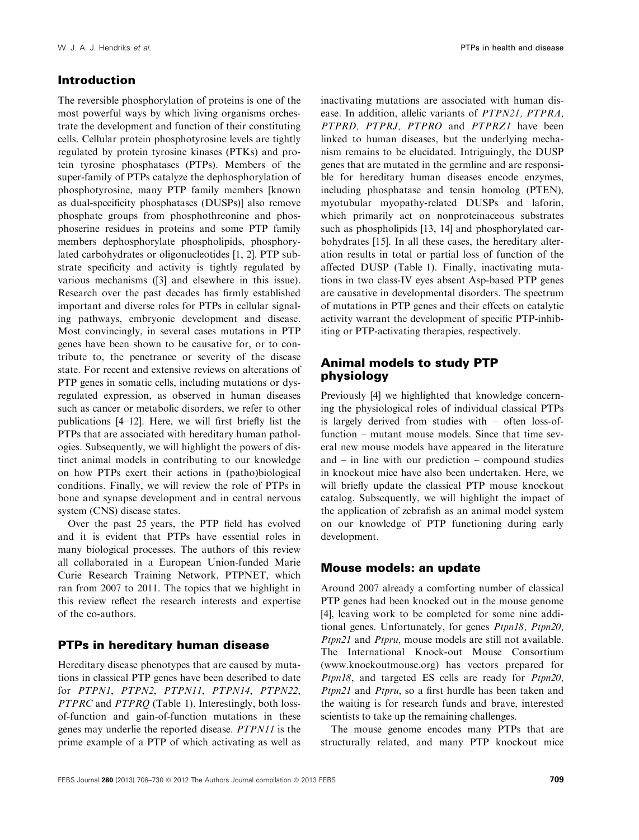## Introduction

The reversible phosphorylation of proteins is one of the most powerful ways by which living organisms orchestrate the development and function of their constituting cells. Cellular protein phosphotyrosine levels are tightly regulated by protein tyrosine kinases (PTKs) and protein tyrosine phosphatases (PTPs). Members of the super-family of PTPs catalyze the dephosphorylation of phosphotyrosine, many PTP family members [known as dual-specificity phosphatases (DUSPs)] also remove phosphate groups from phosphothreonine and phosphoserine residues in proteins and some PTP family members dephosphorylate phospholipids, phosphorylated carbohydrates or oligonucleotides [1, 2]. PTP substrate specificity and activity is tightly regulated by various mechanisms ([3] and elsewhere in this issue). Research over the past decades has firmly established important and diverse roles for PTPs in cellular signaling pathways, embryonic development and disease. Most convincingly, in several cases mutations in PTP genes have been shown to be causative for, or to contribute to, the penetrance or severity of the disease state. For recent and extensive reviews on alterations of PTP genes in somatic cells, including mutations or dysregulated expression, as observed in human diseases such as cancer or metabolic disorders, we refer to other publications [4–12]. Here, we will first briefly list the PTPs that are associated with hereditary human pathologies. Subsequently, we will highlight the powers of distinct animal models in contributing to our knowledge on how PTPs exert their actions in (patho)biological conditions. Finally, we will review the role of PTPs in bone and synapse development and in central nervous system (CNS) disease states.

Over the past 25 years, the PTP field has evolved and it is evident that PTPs have essential roles in many biological processes. The authors of this review all collaborated in a European Union-funded Marie Curie Research Training Network, PTPNET, which ran from 2007 to 2011. The topics that we highlight in this review reflect the research interests and expertise of the co-authors.

## PTPs in hereditary human disease

Hereditary disease phenotypes that are caused by mutations in classical PTP genes have been described to date for PTPN1, PTPN2, PTPN11, PTPN14, PTPN22, PTPRC and PTPRQ (Table 1). Interestingly, both lossof-function and gain-of-function mutations in these genes may underlie the reported disease. PTPN11 is the prime example of a PTP of which activating as well as inactivating mutations are associated with human disease. In addition, allelic variants of PTPN21, PTPRA, PTPRD, PTPRJ, PTPRO and PTPRZ1 have been linked to human diseases, but the underlying mechanism remains to be elucidated. Intriguingly, the DUSP genes that are mutated in the germline and are responsible for hereditary human diseases encode enzymes, including phosphatase and tensin homolog (PTEN), myotubular myopathy-related DUSPs and laforin, which primarily act on nonproteinaceous substrates such as phospholipids [13, 14] and phosphorylated carbohydrates [15]. In all these cases, the hereditary alteration results in total or partial loss of function of the affected DUSP (Table 1). Finally, inactivating mutations in two class-IV eyes absent Asp-based PTP genes are causative in developmental disorders. The spectrum of mutations in PTP genes and their effects on catalytic activity warrant the development of specific PTP-inhibiting or PTP-activating therapies, respectively.

# Animal models to study PTP physiology

Previously [4] we highlighted that knowledge concerning the physiological roles of individual classical PTPs is largely derived from studies with – often loss-offunction – mutant mouse models. Since that time several new mouse models have appeared in the literature and – in line with our prediction – compound studies in knockout mice have also been undertaken. Here, we will briefly update the classical PTP mouse knockout catalog. Subsequently, we will highlight the impact of the application of zebrafish as an animal model system on our knowledge of PTP functioning during early development.

## Mouse models: an update

Around 2007 already a comforting number of classical PTP genes had been knocked out in the mouse genome [4], leaving work to be completed for some nine additional genes. Unfortunately, for genes Ptpn18, Ptpn20, Ptpn21 and Ptpru, mouse models are still not available. The International Knock-out Mouse Consortium (www.knockoutmouse.org) has vectors prepared for Ptpn18, and targeted ES cells are ready for Ptpn20, Ptpn21 and Ptpru, so a first hurdle has been taken and the waiting is for research funds and brave, interested scientists to take up the remaining challenges.

The mouse genome encodes many PTPs that are structurally related, and many PTP knockout mice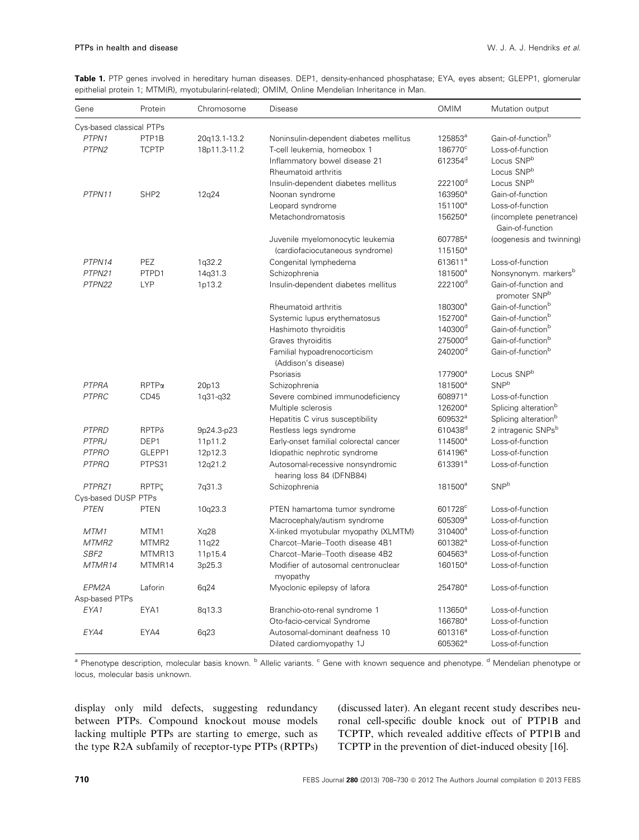|  |  |  |  |                                                                                                  | Table 1. PTP genes involved in hereditary human diseases. DEP1, density-enhanced phosphatase; EYA, eyes absent; GLEPP1, glomerular |  |  |  |
|--|--|--|--|--------------------------------------------------------------------------------------------------|------------------------------------------------------------------------------------------------------------------------------------|--|--|--|
|  |  |  |  | epithelial protein 1; MTM(R), myotubularin(-related); OMIM, Online Mendelian Inheritance in Man. |                                                                                                                                    |  |  |  |

| Gene                     | Protein          | Chromosome   | Disease                                                      | <b>OMIM</b>         | Mutation output                             |
|--------------------------|------------------|--------------|--------------------------------------------------------------|---------------------|---------------------------------------------|
| Cys-based classical PTPs |                  |              |                                                              |                     |                                             |
| PTPN1                    | PTP1B            | 20q13.1-13.2 | Noninsulin-dependent diabetes mellitus                       | 125853 <sup>ª</sup> | Gain-of-function <sup>b</sup>               |
| PTPN <sub>2</sub>        | <b>TCPTP</b>     | 18p11.3-11.2 | T-cell leukemia, homeobox 1                                  | 186770 <sup>c</sup> | Loss-of-function                            |
|                          |                  |              | Inflammatory bowel disease 21                                | 612354 <sup>d</sup> | Locus SNP <sup>b</sup>                      |
|                          |                  |              | Rheumatoid arthritis                                         |                     | Locus SNP <sup>b</sup>                      |
|                          |                  |              | Insulin-dependent diabetes mellitus                          | 222100 <sup>d</sup> | Locus SNP <sup>b</sup>                      |
| PTPN11                   | SHP <sub>2</sub> | 12q24        | Noonan syndrome                                              | 163950 <sup>a</sup> | Gain-of-function                            |
|                          |                  |              | Leopard syndrome                                             | 151100 <sup>a</sup> | Loss-of-function                            |
|                          |                  |              | Metachondromatosis                                           | 156250 <sup>a</sup> | (incomplete penetrance)<br>Gain-of-function |
|                          |                  |              | Juvenile myelomonocytic leukemia                             | 607785 <sup>a</sup> | (oogenesis and twinning)                    |
|                          |                  |              | (cardiofaciocutaneous syndrome)                              | 115150 <sup>a</sup> |                                             |
| PTPN14                   | <b>PEZ</b>       | 1q32.2       | Congenital lymphedema                                        | 613611 <sup>a</sup> | Loss-of-function                            |
| PTPN21                   | PTPD1            | 14q31.3      | Schizophrenia                                                | 181500 <sup>a</sup> | Nonsynonym. markers <sup>b</sup>            |
| PTPN22                   | <b>LYP</b>       | 1p13.2       | Insulin-dependent diabetes mellitus                          | 222100 <sup>d</sup> | Gain-of-function and                        |
|                          |                  |              |                                                              |                     | promoter SNP <sup>b</sup>                   |
|                          |                  |              | Rheumatoid arthritis                                         | 180300 <sup>a</sup> | Gain-of-function <sup>b</sup>               |
|                          |                  |              | Systemic lupus erythematosus                                 | 152700 <sup>a</sup> | Gain-of-function <sup>b</sup>               |
|                          |                  |              | Hashimoto thyroiditis                                        | 140300 <sup>d</sup> | Gain-of-function <sup>b</sup>               |
|                          |                  |              | Graves thyroiditis                                           | 275000 <sup>d</sup> | Gain-of-function <sup>b</sup>               |
|                          |                  |              | Familial hypoadrenocorticism                                 | 240200 <sup>d</sup> | Gain-of-function <sup>b</sup>               |
|                          |                  |              | (Addison's disease)                                          |                     |                                             |
|                          |                  |              | Psoriasis                                                    | 177900 <sup>a</sup> | Locus SNPb                                  |
| PTPRA                    | $RPTP\alpha$     | 20p13        | Schizophrenia                                                | 181500 <sup>a</sup> | SNP <sup>b</sup>                            |
| <b>PTPRC</b>             | CD45             | 1q31-q32     | Severe combined immunodeficiency                             | 608971 <sup>a</sup> | Loss-of-function                            |
|                          |                  |              | Multiple sclerosis                                           | 126200 <sup>a</sup> | Splicing alteration <sup>b</sup>            |
|                          |                  |              | Hepatitis C virus susceptibility                             | 609532ª             | Splicing alteration <sup>b</sup>            |
| <b>PTPRD</b>             | RPTPδ            | 9p24.3-p23   | Restless legs syndrome                                       | 610438 <sup>d</sup> | 2 intragenic SNPs <sup>b</sup>              |
| <b>PTPRJ</b>             | DEP1             | 11p11.2      | Early-onset familial colorectal cancer                       | 114500 <sup>a</sup> | Loss-of-function                            |
| <b>PTPRO</b>             | GLEPP1           | 12p12.3      | Idiopathic nephrotic syndrome                                | 614196 <sup>a</sup> | Loss-of-function                            |
| <b>PTPRQ</b>             | PTPS31           | 12q21.2      | Autosomal-recessive nonsyndromic<br>hearing loss 84 (DFNB84) | 613391 <sup>ª</sup> | Loss-of-function                            |
| PTPRZ1                   | <b>RPTPL</b>     | 7q31.3       | Schizophrenia                                                | 181500 <sup>a</sup> | SNP <sup>b</sup>                            |
| Cys-based DUSP PTPs      |                  |              |                                                              |                     |                                             |
| <b>PTEN</b>              | <b>PTEN</b>      | 10q23.3      | PTEN hamartoma tumor syndrome                                | 601728 <sup>c</sup> | Loss-of-function                            |
|                          |                  |              | Macrocephaly/autism syndrome                                 | 605309 <sup>a</sup> | Loss-of-function                            |
| MTM1                     | MTM1             | Xq28         | X-linked myotubular myopathy (XLMTM)                         | 310400 <sup>a</sup> | Loss-of-function                            |
| MTMR2                    | MTMR2            | 11q22        | Charcot-Marie-Tooth disease 4B1                              | 601382 <sup>ª</sup> | Loss-of-function                            |
| SBF <sub>2</sub>         | MTMR13           | 11p15.4      | Charcot-Marie-Tooth disease 4B2                              | 604563ª             | Loss-of-function                            |
| MTMR14                   | MTMR14           | 3p25.3       | Modifier of autosomal centronuclear<br>myopathy              | 160150 <sup>a</sup> | Loss-of-function                            |
| EPM2A                    | Laforin          | 6q24         | Myoclonic epilepsy of lafora                                 | 254780 <sup>a</sup> | Loss-of-function                            |
| Asp-based PTPs           |                  |              |                                                              |                     |                                             |
| EYA1                     | EYA1             | 8q13.3       | Branchio-oto-renal syndrome 1                                | 113650 <sup>a</sup> | Loss-of-function                            |
|                          |                  |              | Oto-facio-cervical Syndrome                                  | 166780 <sup>a</sup> | Loss-of-function                            |
| EYA4                     | EYA4             | 6q23         | Autosomal-dominant deafness 10                               | 601316 <sup>a</sup> | Loss-of-function                            |
|                          |                  |              | Dilated cardiomyopathy 1J                                    | 605362ª             | Loss-of-function                            |

<sup>a</sup> Phenotype description, molecular basis known. <sup>b</sup> Allelic variants. <sup>c</sup> Gene with known sequence and phenotype. <sup>d</sup> Mendelian phenotype or locus, molecular basis unknown.

display only mild defects, suggesting redundancy between PTPs. Compound knockout mouse models lacking multiple PTPs are starting to emerge, such as the type R2A subfamily of receptor-type PTPs (RPTPs) (discussed later). An elegant recent study describes neuronal cell-specific double knock out of PTP1B and TCPTP, which revealed additive effects of PTP1B and TCPTP in the prevention of diet-induced obesity [16].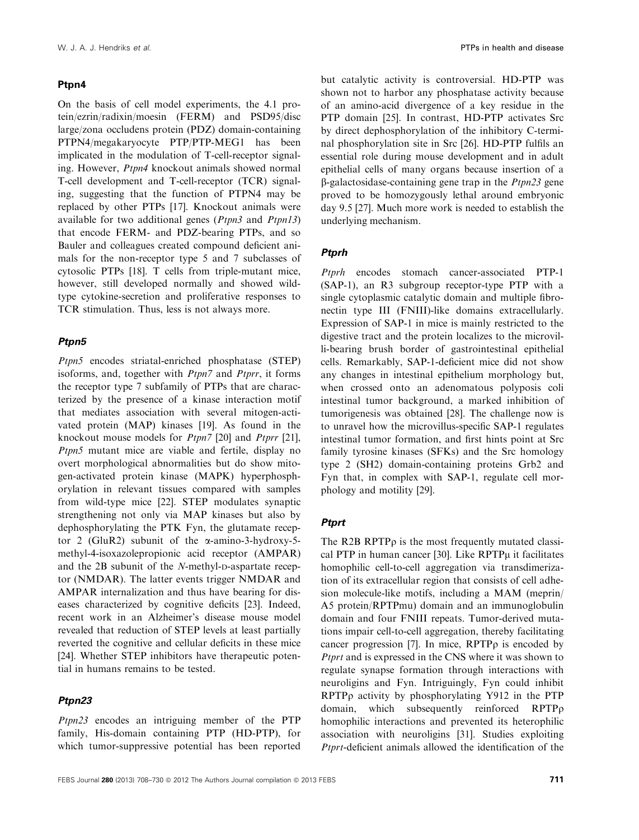#### Ptpn4

On the basis of cell model experiments, the 4.1 protein/ezrin/radixin/moesin (FERM) and PSD95/disc large/zona occludens protein (PDZ) domain-containing PTPN4/megakaryocyte PTP/PTP-MEG1 has been implicated in the modulation of T-cell-receptor signaling. However, Ptpn4 knockout animals showed normal T-cell development and T-cell-receptor (TCR) signaling, suggesting that the function of PTPN4 may be replaced by other PTPs [17]. Knockout animals were available for two additional genes (Ptpn3 and Ptpn13) that encode FERM- and PDZ-bearing PTPs, and so Bauler and colleagues created compound deficient animals for the non-receptor type 5 and 7 subclasses of cytosolic PTPs [18]. T cells from triple-mutant mice, however, still developed normally and showed wildtype cytokine-secretion and proliferative responses to TCR stimulation. Thus, less is not always more.

#### Ptpn5

Ptpn5 encodes striatal-enriched phosphatase (STEP) isoforms, and, together with Ptpn7 and Ptprr, it forms the receptor type 7 subfamily of PTPs that are characterized by the presence of a kinase interaction motif that mediates association with several mitogen-activated protein (MAP) kinases [19]. As found in the knockout mouse models for Ptpn7 [20] and Ptprr [21], Ptpn5 mutant mice are viable and fertile, display no overt morphological abnormalities but do show mitogen-activated protein kinase (MAPK) hyperphosphorylation in relevant tissues compared with samples from wild-type mice [22]. STEP modulates synaptic strengthening not only via MAP kinases but also by dephosphorylating the PTK Fyn, the glutamate receptor 2 (GluR2) subunit of the  $\alpha$ -amino-3-hydroxy-5methyl-4-isoxazolepropionic acid receptor (AMPAR) and the 2B subunit of the N-methyl-D-aspartate receptor (NMDAR). The latter events trigger NMDAR and AMPAR internalization and thus have bearing for diseases characterized by cognitive deficits [23]. Indeed, recent work in an Alzheimer's disease mouse model revealed that reduction of STEP levels at least partially reverted the cognitive and cellular deficits in these mice [24]. Whether STEP inhibitors have therapeutic potential in humans remains to be tested.

## Ptpn23

Ptpn23 encodes an intriguing member of the PTP family, His-domain containing PTP (HD-PTP), for which tumor-suppressive potential has been reported

but catalytic activity is controversial. HD-PTP was shown not to harbor any phosphatase activity because of an amino-acid divergence of a key residue in the PTP domain [25]. In contrast, HD-PTP activates Src by direct dephosphorylation of the inhibitory C-terminal phosphorylation site in Src [26]. HD-PTP fulfils an essential role during mouse development and in adult epithelial cells of many organs because insertion of a  $\beta$ -galactosidase-containing gene trap in the *Ptpn23* gene proved to be homozygously lethal around embryonic day 9.5 [27]. Much more work is needed to establish the underlying mechanism.

#### **Ptprh**

Ptprh encodes stomach cancer-associated PTP-1 (SAP-1), an R3 subgroup receptor-type PTP with a single cytoplasmic catalytic domain and multiple fibronectin type III (FNIII)-like domains extracellularly. Expression of SAP-1 in mice is mainly restricted to the digestive tract and the protein localizes to the microvilli-bearing brush border of gastrointestinal epithelial cells. Remarkably, SAP-1-deficient mice did not show any changes in intestinal epithelium morphology but, when crossed onto an adenomatous polyposis coli intestinal tumor background, a marked inhibition of tumorigenesis was obtained [28]. The challenge now is to unravel how the microvillus-specific SAP-1 regulates intestinal tumor formation, and first hints point at Src family tyrosine kinases (SFKs) and the Src homology type 2 (SH2) domain-containing proteins Grb2 and Fyn that, in complex with SAP-1, regulate cell morphology and motility [29].

#### Ptprt

The R2B RPTP $\rho$  is the most frequently mutated classical PTP in human cancer [30]. Like  $RPTP\mu$  it facilitates homophilic cell-to-cell aggregation via transdimerization of its extracellular region that consists of cell adhesion molecule-like motifs, including a MAM (meprin/ A5 protein/RPTPmu) domain and an immunoglobulin domain and four FNIII repeats. Tumor-derived mutations impair cell-to-cell aggregation, thereby facilitating cancer progression [7]. In mice,  $RPTP\rho$  is encoded by Ptprt and is expressed in the CNS where it was shown to regulate synapse formation through interactions with neuroligins and Fyn. Intriguingly, Fyn could inhibit RPTP<sub>p</sub> activity by phosphorylating Y912 in the PTP domain, which subsequently reinforced RPTPq homophilic interactions and prevented its heterophilic association with neuroligins [31]. Studies exploiting Ptprt-deficient animals allowed the identification of the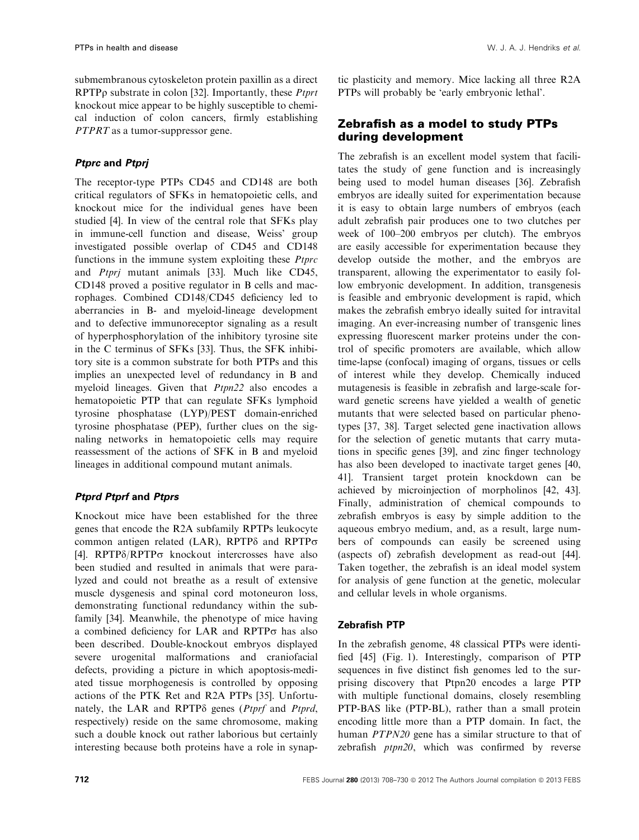## Ptprc and Ptprj

The receptor-type PTPs CD45 and CD148 are both critical regulators of SFKs in hematopoietic cells, and knockout mice for the individual genes have been studied [4]. In view of the central role that SFKs play in immune-cell function and disease, Weiss' group investigated possible overlap of CD45 and CD148 functions in the immune system exploiting these  $P$ tprc and Ptprj mutant animals [33]. Much like CD45, CD148 proved a positive regulator in B cells and macrophages. Combined CD148/CD45 deficiency led to aberrancies in B- and myeloid-lineage development and to defective immunoreceptor signaling as a result of hyperphosphorylation of the inhibitory tyrosine site in the C terminus of SFKs [33]. Thus, the SFK inhibitory site is a common substrate for both PTPs and this implies an unexpected level of redundancy in B and myeloid lineages. Given that Ptpn22 also encodes a hematopoietic PTP that can regulate SFKs lymphoid tyrosine phosphatase (LYP)/PEST domain-enriched tyrosine phosphatase (PEP), further clues on the signaling networks in hematopoietic cells may require reassessment of the actions of SFK in B and myeloid lineages in additional compound mutant animals.

## Ptprd Ptprf and Ptprs

Knockout mice have been established for the three genes that encode the R2A subfamily RPTPs leukocyte common antigen related (LAR), RPTP $\delta$  and RPTP $\sigma$ [4]. RPTP $\delta$ /RPTP $\sigma$  knockout intercrosses have also been studied and resulted in animals that were paralyzed and could not breathe as a result of extensive muscle dysgenesis and spinal cord motoneuron loss, demonstrating functional redundancy within the subfamily [34]. Meanwhile, the phenotype of mice having a combined deficiency for LAR and  $RPTP\sigma$  has also been described. Double-knockout embryos displayed severe urogenital malformations and craniofacial defects, providing a picture in which apoptosis-mediated tissue morphogenesis is controlled by opposing actions of the PTK Ret and R2A PTPs [35]. Unfortunately, the LAR and RPTP $\delta$  genes (Ptprf and Ptprd, respectively) reside on the same chromosome, making such a double knock out rather laborious but certainly interesting because both proteins have a role in synaptic plasticity and memory. Mice lacking all three R2A PTPs will probably be 'early embryonic lethal'.

# Zebrafish as a model to study PTPs during development

The zebrafish is an excellent model system that facilitates the study of gene function and is increasingly being used to model human diseases [36]. Zebrafish embryos are ideally suited for experimentation because it is easy to obtain large numbers of embryos (each adult zebrafish pair produces one to two clutches per week of 100–200 embryos per clutch). The embryos are easily accessible for experimentation because they develop outside the mother, and the embryos are transparent, allowing the experimentator to easily follow embryonic development. In addition, transgenesis is feasible and embryonic development is rapid, which makes the zebrafish embryo ideally suited for intravital imaging. An ever-increasing number of transgenic lines expressing fluorescent marker proteins under the control of specific promoters are available, which allow time-lapse (confocal) imaging of organs, tissues or cells of interest while they develop. Chemically induced mutagenesis is feasible in zebrafish and large-scale forward genetic screens have yielded a wealth of genetic mutants that were selected based on particular phenotypes [37, 38]. Target selected gene inactivation allows for the selection of genetic mutants that carry mutations in specific genes [39], and zinc finger technology has also been developed to inactivate target genes [40, 41]. Transient target protein knockdown can be achieved by microinjection of morpholinos [42, 43]. Finally, administration of chemical compounds to zebrafish embryos is easy by simple addition to the aqueous embryo medium, and, as a result, large numbers of compounds can easily be screened using (aspects of) zebrafish development as read-out [44]. Taken together, the zebrafish is an ideal model system for analysis of gene function at the genetic, molecular and cellular levels in whole organisms.

## Zebrafish PTP

In the zebrafish genome, 48 classical PTPs were identified [45] (Fig. 1). Interestingly, comparison of PTP sequences in five distinct fish genomes led to the surprising discovery that Ptpn20 encodes a large PTP with multiple functional domains, closely resembling PTP-BAS like (PTP-BL), rather than a small protein encoding little more than a PTP domain. In fact, the human PTPN20 gene has a similar structure to that of zebrafish ptpn20, which was confirmed by reverse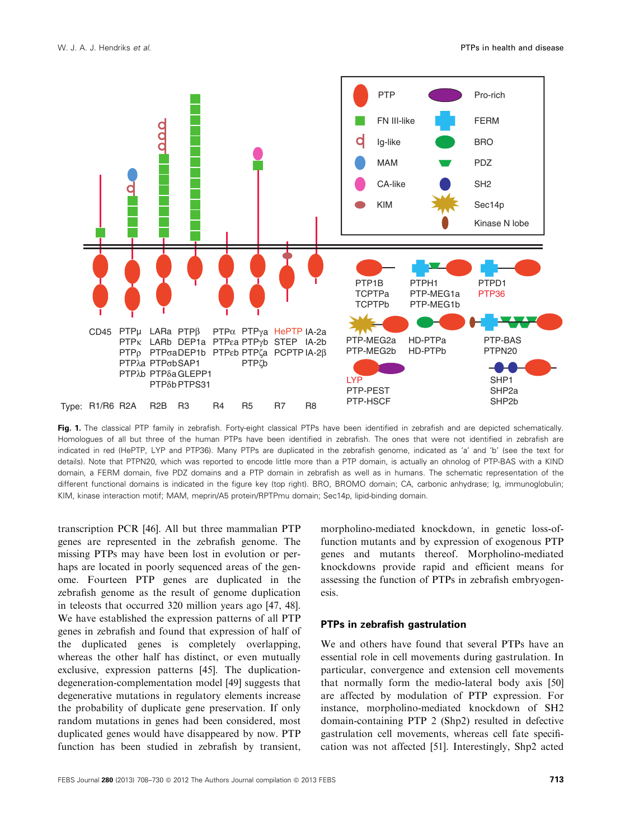

Fig. 1. The classical PTP family in zebrafish. Forty-eight classical PTPs have been identified in zebrafish and are depicted schematically. Homologues of all but three of the human PTPs have been identified in zebrafish. The ones that were not identified in zebrafish are indicated in red (HePTP, LYP and PTP36). Many PTPs are duplicated in the zebrafish genome, indicated as 'a' and 'b' (see the text for details). Note that PTPN20, which was reported to encode little more than a PTP domain, is actually an ohnolog of PTP-BAS with a KIND domain, a FERM domain, five PDZ domains and a PTP domain in zebrafish as well as in humans. The schematic representation of the different functional domains is indicated in the figure key (top right). BRO, BROMO domain; CA, carbonic anhydrase; Ig, immunoglobulin; KIM, kinase interaction motif; MAM, meprin/A5 protein/RPTPmu domain; Sec14p, lipid-binding domain.

transcription PCR [46]. All but three mammalian PTP genes are represented in the zebrafish genome. The missing PTPs may have been lost in evolution or perhaps are located in poorly sequenced areas of the genome. Fourteen PTP genes are duplicated in the zebrafish genome as the result of genome duplication in teleosts that occurred 320 million years ago [47, 48]. We have established the expression patterns of all PTP genes in zebrafish and found that expression of half of the duplicated genes is completely overlapping, whereas the other half has distinct, or even mutually exclusive, expression patterns [45]. The duplicationdegeneration-complementation model [49] suggests that degenerative mutations in regulatory elements increase the probability of duplicate gene preservation. If only random mutations in genes had been considered, most duplicated genes would have disappeared by now. PTP function has been studied in zebrafish by transient,

morpholino-mediated knockdown, in genetic loss-offunction mutants and by expression of exogenous PTP genes and mutants thereof. Morpholino-mediated knockdowns provide rapid and efficient means for assessing the function of PTPs in zebrafish embryogenesis.

#### PTPs in zebrafish gastrulation

We and others have found that several PTPs have an essential role in cell movements during gastrulation. In particular, convergence and extension cell movements that normally form the medio-lateral body axis [50] are affected by modulation of PTP expression. For instance, morpholino-mediated knockdown of SH2 domain-containing PTP 2 (Shp2) resulted in defective gastrulation cell movements, whereas cell fate specification was not affected [51]. Interestingly, Shp2 acted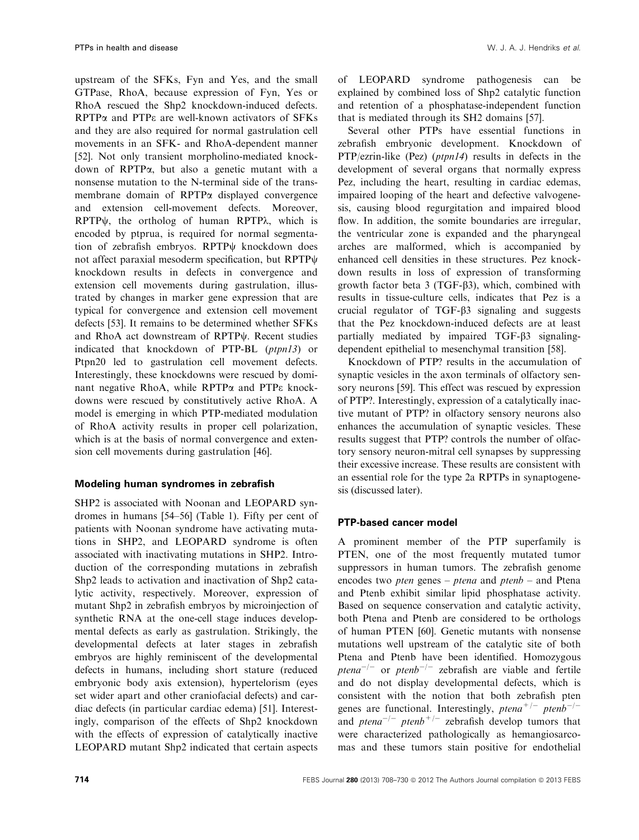upstream of the SFKs, Fyn and Yes, and the small GTPase, RhoA, because expression of Fyn, Yes or RhoA rescued the Shp2 knockdown-induced defects. RPTP $\alpha$  and PTP $\varepsilon$  are well-known activators of SFKs and they are also required for normal gastrulation cell movements in an SFK- and RhoA-dependent manner [52]. Not only transient morpholino-mediated knockdown of RPTPa, but also a genetic mutant with a nonsense mutation to the N-terminal side of the transmembrane domain of RPTPa displayed convergence and extension cell-movement defects. Moreover,  $RPTP\Psi$ , the ortholog of human  $RPTP\lambda$ , which is encoded by ptprua, is required for normal segmentation of zebrafish embryos. RPTPw knockdown does not affect paraxial mesoderm specification, but RPTPw knockdown results in defects in convergence and extension cell movements during gastrulation, illustrated by changes in marker gene expression that are typical for convergence and extension cell movement defects [53]. It remains to be determined whether SFKs and RhoA act downstream of RPTPw. Recent studies indicated that knockdown of PTP-BL (ptpn13) or Ptpn20 led to gastrulation cell movement defects. Interestingly, these knockdowns were rescued by dominant negative RhoA, while RPTPa and PTPe knockdowns were rescued by constitutively active RhoA. A model is emerging in which PTP-mediated modulation of RhoA activity results in proper cell polarization, which is at the basis of normal convergence and extension cell movements during gastrulation [46].

## Modeling human syndromes in zebrafish

SHP2 is associated with Noonan and LEOPARD syndromes in humans [54–56] (Table 1). Fifty per cent of patients with Noonan syndrome have activating mutations in SHP2, and LEOPARD syndrome is often associated with inactivating mutations in SHP2. Introduction of the corresponding mutations in zebrafish Shp2 leads to activation and inactivation of Shp2 catalytic activity, respectively. Moreover, expression of mutant Shp2 in zebrafish embryos by microinjection of synthetic RNA at the one-cell stage induces developmental defects as early as gastrulation. Strikingly, the developmental defects at later stages in zebrafish embryos are highly reminiscent of the developmental defects in humans, including short stature (reduced embryonic body axis extension), hypertelorism (eyes set wider apart and other craniofacial defects) and cardiac defects (in particular cardiac edema) [51]. Interestingly, comparison of the effects of Shp2 knockdown with the effects of expression of catalytically inactive LEOPARD mutant Shp2 indicated that certain aspects

of LEOPARD syndrome pathogenesis can be explained by combined loss of Shp2 catalytic function and retention of a phosphatase-independent function that is mediated through its SH2 domains [57].

Several other PTPs have essential functions in zebrafish embryonic development. Knockdown of PTP/ezrin-like (Pez) (ptpn14) results in defects in the development of several organs that normally express Pez, including the heart, resulting in cardiac edemas, impaired looping of the heart and defective valvogenesis, causing blood regurgitation and impaired blood flow. In addition, the somite boundaries are irregular, the ventricular zone is expanded and the pharyngeal arches are malformed, which is accompanied by enhanced cell densities in these structures. Pez knockdown results in loss of expression of transforming growth factor beta  $3$  (TGF- $\beta$ 3), which, combined with results in tissue-culture cells, indicates that Pez is a crucial regulator of  $TGF- $\beta$ 3 signaling and suggests$ that the Pez knockdown-induced defects are at least partially mediated by impaired  $TGF- $\beta$ 3 signaling$ dependent epithelial to mesenchymal transition [58].

Knockdown of PTP? results in the accumulation of synaptic vesicles in the axon terminals of olfactory sensory neurons [59]. This effect was rescued by expression of PTP?. Interestingly, expression of a catalytically inactive mutant of PTP? in olfactory sensory neurons also enhances the accumulation of synaptic vesicles. These results suggest that PTP? controls the number of olfactory sensory neuron-mitral cell synapses by suppressing their excessive increase. These results are consistent with an essential role for the type 2a RPTPs in synaptogenesis (discussed later).

## PTP-based cancer model

A prominent member of the PTP superfamily is PTEN, one of the most frequently mutated tumor suppressors in human tumors. The zebrafish genome encodes two *pten* genes – *ptena* and *ptenb* – and Ptena and Ptenb exhibit similar lipid phosphatase activity. Based on sequence conservation and catalytic activity, both Ptena and Ptenb are considered to be orthologs of human PTEN [60]. Genetic mutants with nonsense mutations well upstream of the catalytic site of both Ptena and Ptenb have been identified. Homozygous ptena<sup>-/-</sup> or ptenb<sup>-/-</sup> zebrafish are viable and fertile and do not display developmental defects, which is consistent with the notion that both zebrafish pten genes are functional. Interestingly, ptena<sup>+/-</sup> ptenb<sup>-/-</sup> and *ptena<sup>-/-</sup>* ptenb<sup>+/-</sup> zebrafish develop tumors that were characterized pathologically as hemangiosarcomas and these tumors stain positive for endothelial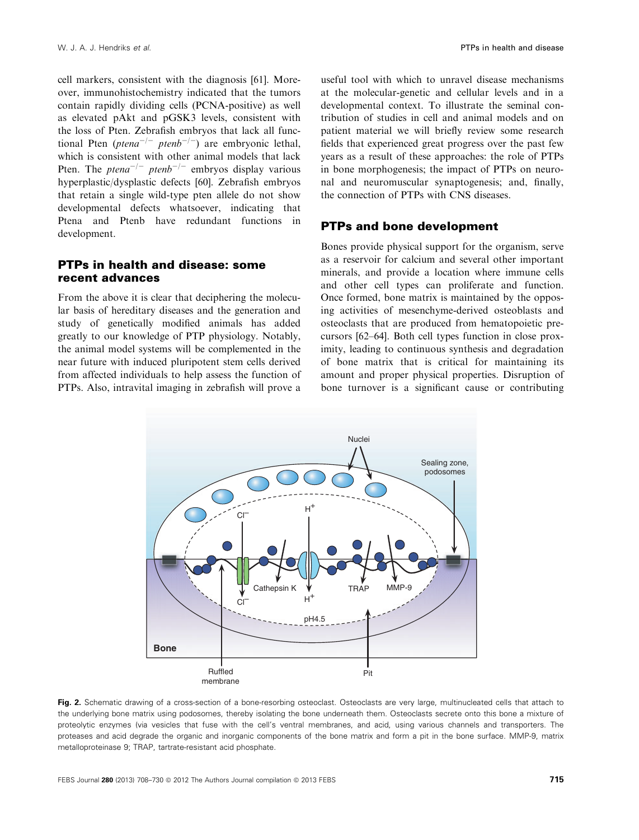cell markers, consistent with the diagnosis [61]. Moreover, immunohistochemistry indicated that the tumors contain rapidly dividing cells (PCNA-positive) as well as elevated pAkt and pGSK3 levels, consistent with the loss of Pten. Zebrafish embryos that lack all functional Pten (ptena<sup>-/-</sup> ptenb<sup>-/-</sup>) are embryonic lethal, which is consistent with other animal models that lack Pten. The *ptena<sup>-/-</sup>* ptenb<sup>-/-</sup> embryos display various hyperplastic/dysplastic defects [60]. Zebrafish embryos that retain a single wild-type pten allele do not show developmental defects whatsoever, indicating that Ptena and Ptenb have redundant functions in development.

## PTPs in health and disease: some recent advances

From the above it is clear that deciphering the molecular basis of hereditary diseases and the generation and study of genetically modified animals has added greatly to our knowledge of PTP physiology. Notably, the animal model systems will be complemented in the near future with induced pluripotent stem cells derived from affected individuals to help assess the function of PTPs. Also, intravital imaging in zebrafish will prove a

useful tool with which to unravel disease mechanisms at the molecular-genetic and cellular levels and in a developmental context. To illustrate the seminal contribution of studies in cell and animal models and on patient material we will briefly review some research fields that experienced great progress over the past few years as a result of these approaches: the role of PTPs in bone morphogenesis; the impact of PTPs on neuronal and neuromuscular synaptogenesis; and, finally, the connection of PTPs with CNS diseases.

## PTPs and bone development

Bones provide physical support for the organism, serve as a reservoir for calcium and several other important minerals, and provide a location where immune cells and other cell types can proliferate and function. Once formed, bone matrix is maintained by the opposing activities of mesenchyme-derived osteoblasts and osteoclasts that are produced from hematopoietic precursors [62–64]. Both cell types function in close proximity, leading to continuous synthesis and degradation of bone matrix that is critical for maintaining its amount and proper physical properties. Disruption of bone turnover is a significant cause or contributing



Fig. 2. Schematic drawing of a cross-section of a bone-resorbing osteoclast. Osteoclasts are very large, multinucleated cells that attach to the underlying bone matrix using podosomes, thereby isolating the bone underneath them. Osteoclasts secrete onto this bone a mixture of proteolytic enzymes (via vesicles that fuse with the cell's ventral membranes, and acid, using various channels and transporters. The proteases and acid degrade the organic and inorganic components of the bone matrix and form a pit in the bone surface. MMP-9, matrix metalloproteinase 9; TRAP, tartrate-resistant acid phosphate.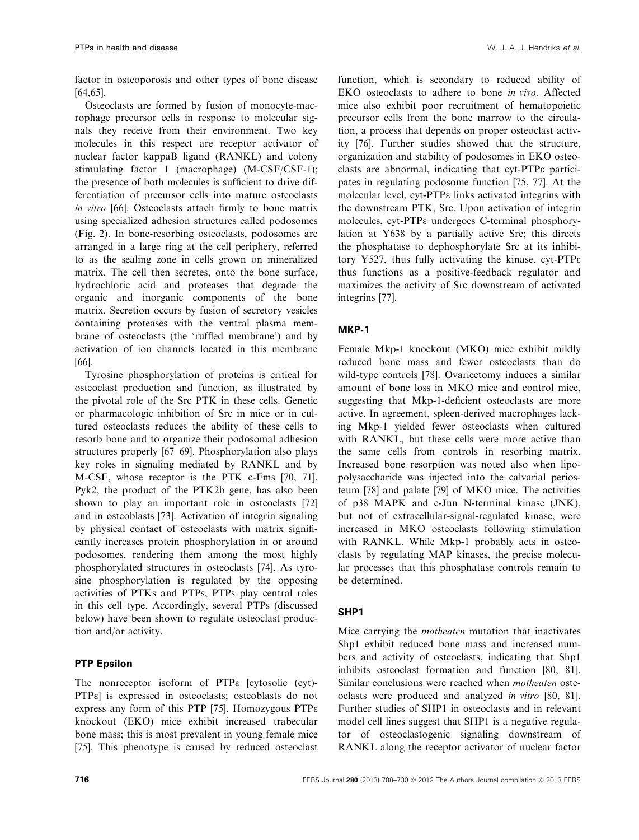factor in osteoporosis and other types of bone disease [64,65].

Osteoclasts are formed by fusion of monocyte-macrophage precursor cells in response to molecular signals they receive from their environment. Two key molecules in this respect are receptor activator of nuclear factor kappaB ligand (RANKL) and colony stimulating factor 1 (macrophage) (M-CSF/CSF-1); the presence of both molecules is sufficient to drive differentiation of precursor cells into mature osteoclasts in vitro [66]. Osteoclasts attach firmly to bone matrix using specialized adhesion structures called podosomes (Fig. 2). In bone-resorbing osteoclasts, podosomes are arranged in a large ring at the cell periphery, referred to as the sealing zone in cells grown on mineralized matrix. The cell then secretes, onto the bone surface, hydrochloric acid and proteases that degrade the organic and inorganic components of the bone matrix. Secretion occurs by fusion of secretory vesicles containing proteases with the ventral plasma membrane of osteoclasts (the 'ruffled membrane') and by activation of ion channels located in this membrane [66].

Tyrosine phosphorylation of proteins is critical for osteoclast production and function, as illustrated by the pivotal role of the Src PTK in these cells. Genetic or pharmacologic inhibition of Src in mice or in cultured osteoclasts reduces the ability of these cells to resorb bone and to organize their podosomal adhesion structures properly [67–69]. Phosphorylation also plays key roles in signaling mediated by RANKL and by M-CSF, whose receptor is the PTK c-Fms [70, 71]. Pyk2, the product of the PTK2b gene, has also been shown to play an important role in osteoclasts [72] and in osteoblasts [73]. Activation of integrin signaling by physical contact of osteoclasts with matrix significantly increases protein phosphorylation in or around podosomes, rendering them among the most highly phosphorylated structures in osteoclasts [74]. As tyrosine phosphorylation is regulated by the opposing activities of PTKs and PTPs, PTPs play central roles in this cell type. Accordingly, several PTPs (discussed below) have been shown to regulate osteoclast production and/or activity.

#### PTP Epsilon

The nonreceptor isoform of PTPe [cytosolic (cyt)- PTPe] is expressed in osteoclasts; osteoblasts do not express any form of this PTP [75]. Homozygous PTP $\varepsilon$ knockout (EKO) mice exhibit increased trabecular bone mass; this is most prevalent in young female mice [75]. This phenotype is caused by reduced osteoclast

function, which is secondary to reduced ability of EKO osteoclasts to adhere to bone in vivo. Affected mice also exhibit poor recruitment of hematopoietic precursor cells from the bone marrow to the circulation, a process that depends on proper osteoclast activity [76]. Further studies showed that the structure, organization and stability of podosomes in EKO osteoclasts are abnormal, indicating that cyt-PTPe participates in regulating podosome function [75, 77]. At the molecular level, cyt-PTPe links activated integrins with the downstream PTK, Src. Upon activation of integrin molecules, cyt-PTPe undergoes C-terminal phosphorylation at Y638 by a partially active Src; this directs the phosphatase to dephosphorylate Src at its inhibitory Y527, thus fully activating the kinase.  $cyt$ -PTP $\epsilon$ thus functions as a positive-feedback regulator and maximizes the activity of Src downstream of activated integrins [77].

## MKP-1

Female Mkp-1 knockout (MKO) mice exhibit mildly reduced bone mass and fewer osteoclasts than do wild-type controls [78]. Ovariectomy induces a similar amount of bone loss in MKO mice and control mice, suggesting that Mkp-1-deficient osteoclasts are more active. In agreement, spleen-derived macrophages lacking Mkp-1 yielded fewer osteoclasts when cultured with RANKL, but these cells were more active than the same cells from controls in resorbing matrix. Increased bone resorption was noted also when lipopolysaccharide was injected into the calvarial periosteum [78] and palate [79] of MKO mice. The activities of p38 MAPK and c-Jun N-terminal kinase (JNK), but not of extracellular-signal-regulated kinase, were increased in MKO osteoclasts following stimulation with RANKL. While Mkp-1 probably acts in osteoclasts by regulating MAP kinases, the precise molecular processes that this phosphatase controls remain to be determined.

## SHP1

Mice carrying the *motheaten* mutation that inactivates Shp1 exhibit reduced bone mass and increased numbers and activity of osteoclasts, indicating that Shp1 inhibits osteoclast formation and function [80, 81]. Similar conclusions were reached when motheaten osteoclasts were produced and analyzed in vitro [80, 81]. Further studies of SHP1 in osteoclasts and in relevant model cell lines suggest that SHP1 is a negative regulator of osteoclastogenic signaling downstream of RANKL along the receptor activator of nuclear factor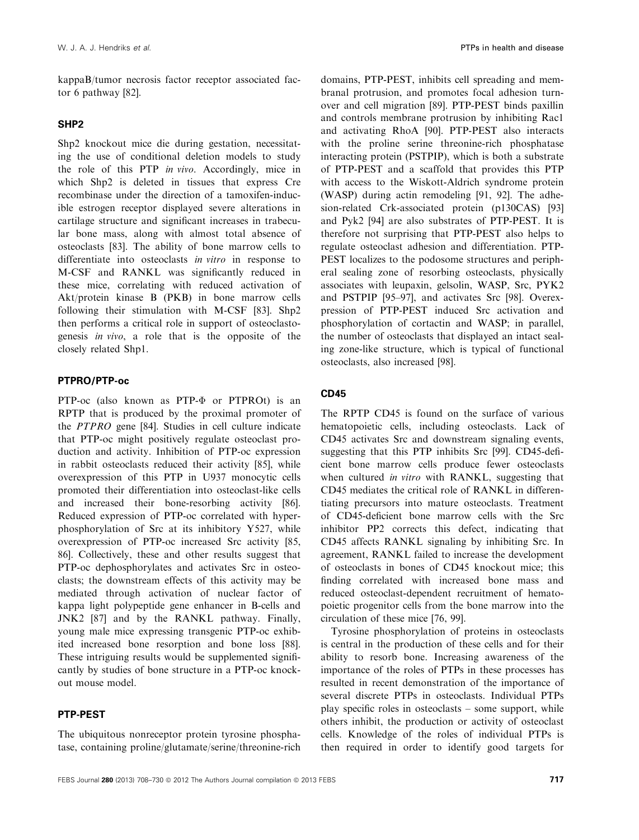kappaB/tumor necrosis factor receptor associated factor 6 pathway [82].

## SHP2

Shp2 knockout mice die during gestation, necessitating the use of conditional deletion models to study the role of this PTP in vivo. Accordingly, mice in which Shp2 is deleted in tissues that express Cre recombinase under the direction of a tamoxifen-inducible estrogen receptor displayed severe alterations in cartilage structure and significant increases in trabecular bone mass, along with almost total absence of osteoclasts [83]. The ability of bone marrow cells to differentiate into osteoclasts *in vitro* in response to M-CSF and RANKL was significantly reduced in these mice, correlating with reduced activation of Akt/protein kinase B (PKB) in bone marrow cells following their stimulation with M-CSF [83]. Shp2 then performs a critical role in support of osteoclastogenesis in vivo, a role that is the opposite of the closely related Shp1.

#### PTPRO/PTP-oc

PTP-oc (also known as PTP- $\Phi$  or PTPROt) is an RPTP that is produced by the proximal promoter of the PTPRO gene [84]. Studies in cell culture indicate that PTP-oc might positively regulate osteoclast production and activity. Inhibition of PTP-oc expression in rabbit osteoclasts reduced their activity [85], while overexpression of this PTP in U937 monocytic cells promoted their differentiation into osteoclast-like cells and increased their bone-resorbing activity [86]. Reduced expression of PTP-oc correlated with hyperphosphorylation of Src at its inhibitory Y527, while overexpression of PTP-oc increased Src activity [85, 86]. Collectively, these and other results suggest that PTP-oc dephosphorylates and activates Src in osteoclasts; the downstream effects of this activity may be mediated through activation of nuclear factor of kappa light polypeptide gene enhancer in B-cells and JNK2 [87] and by the RANKL pathway. Finally, young male mice expressing transgenic PTP-oc exhibited increased bone resorption and bone loss [88]. These intriguing results would be supplemented significantly by studies of bone structure in a PTP-oc knockout mouse model.

#### PTP-PEST

The ubiquitous nonreceptor protein tyrosine phosphatase, containing proline/glutamate/serine/threonine-rich domains, PTP-PEST, inhibits cell spreading and membranal protrusion, and promotes focal adhesion turnover and cell migration [89]. PTP-PEST binds paxillin and controls membrane protrusion by inhibiting Rac1 and activating RhoA [90]. PTP-PEST also interacts with the proline serine threonine-rich phosphatase interacting protein (PSTPIP), which is both a substrate of PTP-PEST and a scaffold that provides this PTP with access to the Wiskott-Aldrich syndrome protein (WASP) during actin remodeling [91, 92]. The adhesion-related Crk-associated protein (p130CAS) [93] and Pyk2 [94] are also substrates of PTP-PEST. It is therefore not surprising that PTP-PEST also helps to regulate osteoclast adhesion and differentiation. PTP-PEST localizes to the podosome structures and peripheral sealing zone of resorbing osteoclasts, physically associates with leupaxin, gelsolin, WASP, Src, PYK2 and PSTPIP [95–97], and activates Src [98]. Overexpression of PTP-PEST induced Src activation and phosphorylation of cortactin and WASP; in parallel, the number of osteoclasts that displayed an intact sealing zone-like structure, which is typical of functional osteoclasts, also increased [98].

#### CD45

The RPTP CD45 is found on the surface of various hematopoietic cells, including osteoclasts. Lack of CD45 activates Src and downstream signaling events, suggesting that this PTP inhibits Src [99]. CD45-deficient bone marrow cells produce fewer osteoclasts when cultured *in vitro* with RANKL, suggesting that CD45 mediates the critical role of RANKL in differentiating precursors into mature osteoclasts. Treatment of CD45-deficient bone marrow cells with the Src inhibitor PP2 corrects this defect, indicating that CD45 affects RANKL signaling by inhibiting Src. In agreement, RANKL failed to increase the development of osteoclasts in bones of CD45 knockout mice; this finding correlated with increased bone mass and reduced osteoclast-dependent recruitment of hematopoietic progenitor cells from the bone marrow into the circulation of these mice [76, 99].

Tyrosine phosphorylation of proteins in osteoclasts is central in the production of these cells and for their ability to resorb bone. Increasing awareness of the importance of the roles of PTPs in these processes has resulted in recent demonstration of the importance of several discrete PTPs in osteoclasts. Individual PTPs play specific roles in osteoclasts – some support, while others inhibit, the production or activity of osteoclast cells. Knowledge of the roles of individual PTPs is then required in order to identify good targets for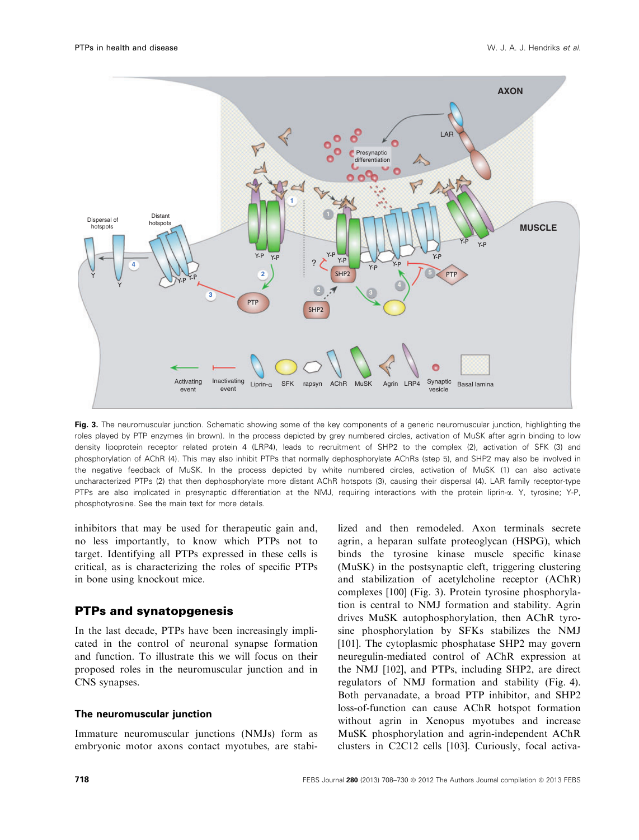

Fig. 3. The neuromuscular junction. Schematic showing some of the key components of a generic neuromuscular junction, highlighting the roles played by PTP enzymes (in brown). In the process depicted by grey numbered circles, activation of MuSK after agrin binding to low density lipoprotein receptor related protein 4 (LRP4), leads to recruitment of SHP2 to the complex (2), activation of SFK (3) and phosphorylation of AChR (4). This may also inhibit PTPs that normally dephosphorylate AChRs (step 5), and SHP2 may also be involved in the negative feedback of MuSK. In the process depicted by white numbered circles, activation of MuSK (1) can also activate uncharacterized PTPs (2) that then dephosphorylate more distant AChR hotspots (3), causing their dispersal (4). LAR family receptor-type PTPs are also implicated in presynaptic differentiation at the NMJ, requiring interactions with the protein liprin- $\alpha$ . Y, tyrosine; Y-P, phosphotyrosine. See the main text for more details.

inhibitors that may be used for therapeutic gain and, no less importantly, to know which PTPs not to target. Identifying all PTPs expressed in these cells is critical, as is characterizing the roles of specific PTPs in bone using knockout mice.

## PTPs and synatopgenesis

In the last decade, PTPs have been increasingly implicated in the control of neuronal synapse formation and function. To illustrate this we will focus on their proposed roles in the neuromuscular junction and in CNS synapses.

#### The neuromuscular junction

Immature neuromuscular junctions (NMJs) form as embryonic motor axons contact myotubes, are stabi-

lized and then remodeled. Axon terminals secrete agrin, a heparan sulfate proteoglycan (HSPG), which binds the tyrosine kinase muscle specific kinase (MuSK) in the postsynaptic cleft, triggering clustering and stabilization of acetylcholine receptor (AChR) complexes [100] (Fig. 3). Protein tyrosine phosphorylation is central to NMJ formation and stability. Agrin drives MuSK autophosphorylation, then AChR tyrosine phosphorylation by SFKs stabilizes the NMJ [101]. The cytoplasmic phosphatase SHP2 may govern neuregulin-mediated control of AChR expression at the NMJ [102], and PTPs, including SHP2, are direct regulators of NMJ formation and stability (Fig. 4). Both pervanadate, a broad PTP inhibitor, and SHP2 loss-of-function can cause AChR hotspot formation without agrin in Xenopus myotubes and increase MuSK phosphorylation and agrin-independent AChR clusters in C2C12 cells [103]. Curiously, focal activa-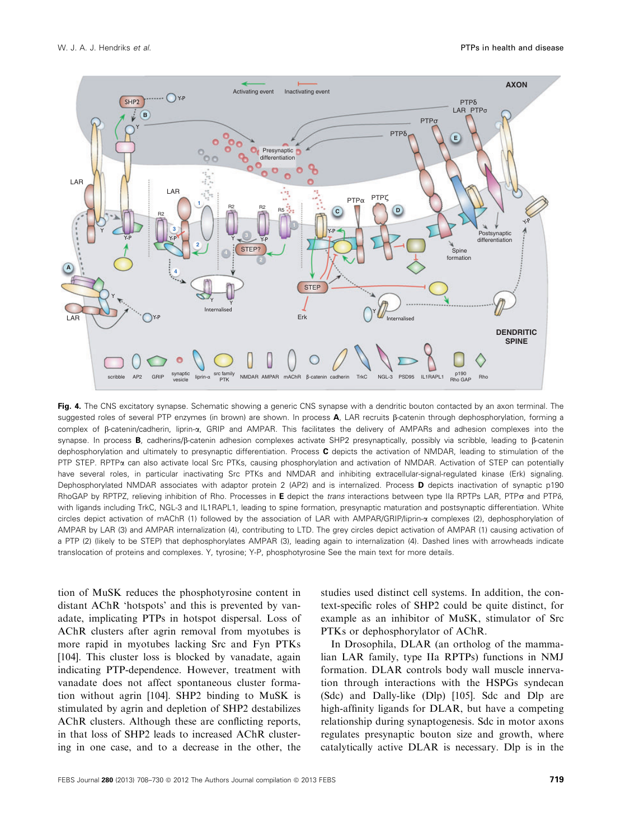

Fig. 4. The CNS excitatory synapse. Schematic showing a generic CNS synapse with a dendritic bouton contacted by an axon terminal. The suggested roles of several PTP enzymes (in brown) are shown. In process A, LAR recruits ß-catenin through dephosphorylation, forming a complex of  $\beta$ -catenin/cadherin, liprin-a, GRIP and AMPAR. This facilitates the delivery of AMPARs and adhesion complexes into the synapse. In process **B**, cadherins/ $\beta$ -catenin adhesion complexes activate SHP2 presynaptically, possibly via scribble, leading to  $\beta$ -catenin dephosphorylation and ultimately to presynaptic differentiation. Process C depicts the activation of NMDAR, leading to stimulation of the PTP STEP. RPTPa can also activate local Src PTKs, causing phosphorylation and activation of NMDAR. Activation of STEP can potentially have several roles, in particular inactivating Src PTKs and NMDAR and inhibiting extracellular-signal-regulated kinase (Erk) signaling. Dephosphorylated NMDAR associates with adaptor protein 2 (AP2) and is internalized. Process D depicts inactivation of synaptic p190 RhoGAP by RPTPZ, relieving inhibition of Rho. Processes in E depict the trans interactions between type IIa RPTPs LAR, PTP<sub>o</sub> and PTP<sub>8</sub>, with ligands including TrkC, NGL-3 and IL1RAPL1, leading to spine formation, presynaptic maturation and postsynaptic differentiation. White circles depict activation of mAChR (1) followed by the association of LAR with AMPAR/GRIP/liprin- $\alpha$  complexes (2), dephosphorylation of AMPAR by LAR (3) and AMPAR internalization (4), contributing to LTD. The grey circles depict activation of AMPAR (1) causing activation of a PTP (2) (likely to be STEP) that dephosphorylates AMPAR (3), leading again to internalization (4). Dashed lines with arrowheads indicate translocation of proteins and complexes. Y, tyrosine; Y-P, phosphotyrosine See the main text for more details.

tion of MuSK reduces the phosphotyrosine content in distant AChR 'hotspots' and this is prevented by vanadate, implicating PTPs in hotspot dispersal. Loss of AChR clusters after agrin removal from myotubes is more rapid in myotubes lacking Src and Fyn PTKs [104]. This cluster loss is blocked by vanadate, again indicating PTP-dependence. However, treatment with vanadate does not affect spontaneous cluster formation without agrin [104]. SHP2 binding to MuSK is stimulated by agrin and depletion of SHP2 destabilizes AChR clusters. Although these are conflicting reports, in that loss of SHP2 leads to increased AChR clustering in one case, and to a decrease in the other, the

studies used distinct cell systems. In addition, the context-specific roles of SHP2 could be quite distinct, for example as an inhibitor of MuSK, stimulator of Src PTKs or dephosphorylator of AChR.

In Drosophila, DLAR (an ortholog of the mammalian LAR family, type IIa RPTPs) functions in NMJ formation. DLAR controls body wall muscle innervation through interactions with the HSPGs syndecan (Sdc) and Dally-like (Dlp) [105]. Sdc and Dlp are high-affinity ligands for DLAR, but have a competing relationship during synaptogenesis. Sdc in motor axons regulates presynaptic bouton size and growth, where catalytically active DLAR is necessary. Dlp is in the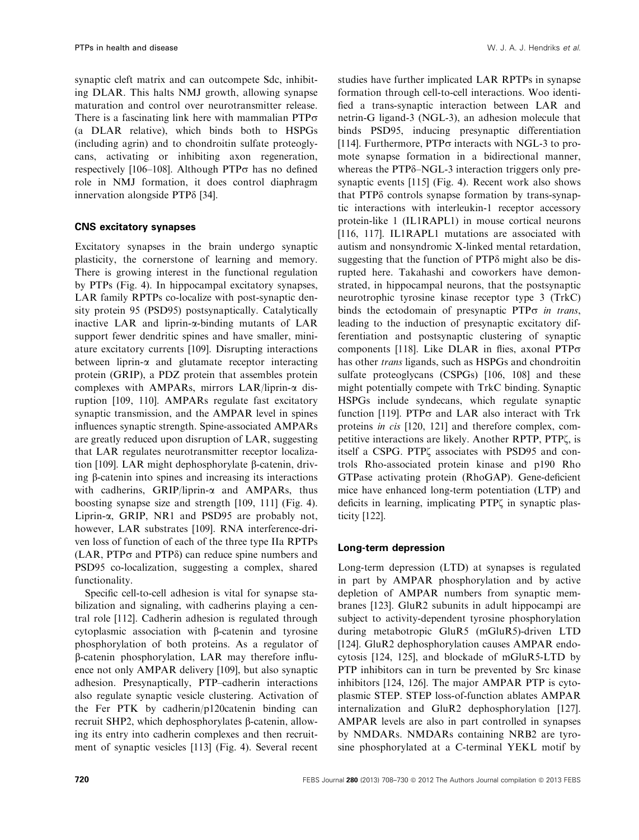synaptic cleft matrix and can outcompete Sdc, inhibiting DLAR. This halts NMJ growth, allowing synapse maturation and control over neurotransmitter release. There is a fascinating link here with mammalian  $PTP\sigma$ (a DLAR relative), which binds both to HSPGs (including agrin) and to chondroitin sulfate proteoglycans, activating or inhibiting axon regeneration, respectively [106–108]. Although PTP $\sigma$  has no defined role in NMJ formation, it does control diaphragm innervation alongside PTP $\delta$  [34].

## CNS excitatory synapses

Excitatory synapses in the brain undergo synaptic plasticity, the cornerstone of learning and memory. There is growing interest in the functional regulation by PTPs (Fig. 4). In hippocampal excitatory synapses, LAR family RPTPs co-localize with post-synaptic density protein 95 (PSD95) postsynaptically. Catalytically inactive LAR and liprin-a-binding mutants of LAR support fewer dendritic spines and have smaller, miniature excitatory currents [109]. Disrupting interactions between liprin- $\alpha$  and glutamate receptor interacting protein (GRIP), a PDZ protein that assembles protein complexes with AMPARs, mirrors  $LAR/liprin-\alpha$  disruption [109, 110]. AMPARs regulate fast excitatory synaptic transmission, and the AMPAR level in spines influences synaptic strength. Spine-associated AMPARs are greatly reduced upon disruption of LAR, suggesting that LAR regulates neurotransmitter receptor localization [109]. LAR might dephosphorylate  $\beta$ -catenin, driving  $\beta$ -catenin into spines and increasing its interactions with cadherins, GRIP/liprin- $\alpha$  and AMPARs, thus boosting synapse size and strength [109, 111] (Fig. 4). Liprin-a, GRIP, NR1 and PSD95 are probably not, however, LAR substrates [109]. RNA interference-driven loss of function of each of the three type IIa RPTPs (LAR,  $PTP\sigma$  and  $PTP\delta$ ) can reduce spine numbers and PSD95 co-localization, suggesting a complex, shared functionality.

Specific cell-to-cell adhesion is vital for synapse stabilization and signaling, with cadherins playing a central role [112]. Cadherin adhesion is regulated through cytoplasmic association with b-catenin and tyrosine phosphorylation of both proteins. As a regulator of b-catenin phosphorylation, LAR may therefore influence not only AMPAR delivery [109], but also synaptic adhesion. Presynaptically, PTP–cadherin interactions also regulate synaptic vesicle clustering. Activation of the Fer PTK by cadherin/p120catenin binding can recruit SHP2, which dephosphorylates  $\beta$ -catenin, allowing its entry into cadherin complexes and then recruitment of synaptic vesicles [113] (Fig. 4). Several recent

studies have further implicated LAR RPTPs in synapse formation through cell-to-cell interactions. Woo identified a trans-synaptic interaction between LAR and netrin-G ligand-3 (NGL-3), an adhesion molecule that binds PSD95, inducing presynaptic differentiation [114]. Furthermore,  $PTP\sigma$  interacts with NGL-3 to promote synapse formation in a bidirectional manner, whereas the  $PTP\delta-NGL-3$  interaction triggers only presynaptic events [115] (Fig. 4). Recent work also shows that PTP $\delta$  controls synapse formation by trans-synaptic interactions with interleukin-1 receptor accessory protein-like 1 (IL1RAPL1) in mouse cortical neurons [116, 117]. IL1RAPL1 mutations are associated with autism and nonsyndromic X-linked mental retardation, suggesting that the function of PTP $\delta$  might also be disrupted here. Takahashi and coworkers have demonstrated, in hippocampal neurons, that the postsynaptic neurotrophic tyrosine kinase receptor type 3 (TrkC) binds the ectodomain of presynaptic  $PTP\sigma$  in trans, leading to the induction of presynaptic excitatory differentiation and postsynaptic clustering of synaptic components [118]. Like DLAR in flies, axonal  $PTP\sigma$ has other *trans* ligands, such as HSPGs and chondroitin sulfate proteoglycans (CSPGs) [106, 108] and these might potentially compete with TrkC binding. Synaptic HSPGs include syndecans, which regulate synaptic function [119].  $PTP\sigma$  and LAR also interact with Trk proteins in cis [120, 121] and therefore complex, competitive interactions are likely. Another RPTP, PTP $\zeta$ , is itself a CSPG. PTP $\zeta$  associates with PSD95 and controls Rho-associated protein kinase and p190 Rho GTPase activating protein (RhoGAP). Gene-deficient mice have enhanced long-term potentiation (LTP) and deficits in learning, implicating PTP $\zeta$  in synaptic plasticity [122].

## Long-term depression

Long-term depression (LTD) at synapses is regulated in part by AMPAR phosphorylation and by active depletion of AMPAR numbers from synaptic membranes [123]. GluR2 subunits in adult hippocampi are subject to activity-dependent tyrosine phosphorylation during metabotropic GluR5 (mGluR5)-driven LTD [124]. GluR2 dephosphorylation causes AMPAR endocytosis [124, 125], and blockade of mGluR5-LTD by PTP inhibitors can in turn be prevented by Src kinase inhibitors [124, 126]. The major AMPAR PTP is cytoplasmic STEP. STEP loss-of-function ablates AMPAR internalization and GluR2 dephosphorylation [127]. AMPAR levels are also in part controlled in synapses by NMDARs. NMDARs containing NRB2 are tyrosine phosphorylated at a C-terminal YEKL motif by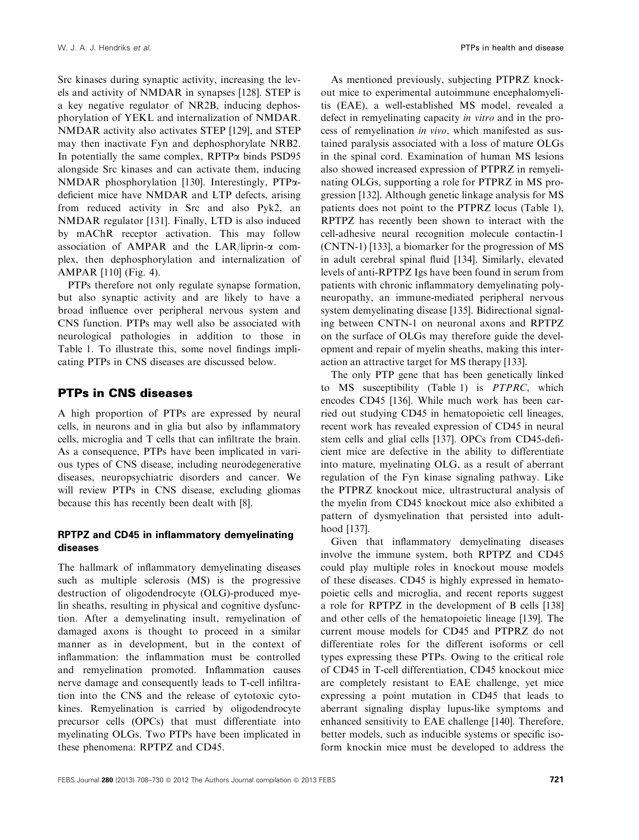Src kinases during synaptic activity, increasing the levels and activity of NMDAR in synapses [128]. STEP is a key negative regulator of NR2B, inducing dephosphorylation of YEKL and internalization of NMDAR. NMDAR activity also activates STEP [129], and STEP may then inactivate Fyn and dephosphorylate NRB2. In potentially the same complex,  $RPTP\alpha$  binds PSD95 alongside Src kinases and can activate them, inducing NMDAR phosphorylation [130]. Interestingly, PTPadeficient mice have NMDAR and LTP defects, arising from reduced activity in Src and also Pyk2, an NMDAR regulator [131]. Finally, LTD is also induced by mAChR receptor activation. This may follow association of AMPAR and the LAR/liprin- $\alpha$  complex, then dephosphorylation and internalization of AMPAR [110] (Fig. 4).

PTPs therefore not only regulate synapse formation, but also synaptic activity and are likely to have a broad influence over peripheral nervous system and CNS function. PTPs may well also be associated with neurological pathologies in addition to those in Table 1. To illustrate this, some novel findings implicating PTPs in CNS diseases are discussed below.

## PTPs in CNS diseases

A high proportion of PTPs are expressed by neural cells, in neurons and in glia but also by inflammatory cells, microglia and T cells that can infiltrate the brain. As a consequence, PTPs have been implicated in various types of CNS disease, including neurodegenerative diseases, neuropsychiatric disorders and cancer. We will review PTPs in CNS disease, excluding gliomas because this has recently been dealt with [8].

#### RPTPZ and CD45 in inflammatory demyelinating diseases

The hallmark of inflammatory demyelinating diseases such as multiple sclerosis (MS) is the progressive destruction of oligodendrocyte (OLG)-produced myelin sheaths, resulting in physical and cognitive dysfunction. After a demyelinating insult, remyelination of damaged axons is thought to proceed in a similar manner as in development, but in the context of inflammation: the inflammation must be controlled and remyelination promoted. Inflammation causes nerve damage and consequently leads to T-cell infiltration into the CNS and the release of cytotoxic cytokines. Remyelination is carried by oligodendrocyte precursor cells (OPCs) that must differentiate into myelinating OLGs. Two PTPs have been implicated in these phenomena: RPTPZ and CD45.

As mentioned previously, subjecting PTPRZ knockout mice to experimental autoimmune encephalomyelitis (EAE), a well-established MS model, revealed a defect in remyelinating capacity in vitro and in the process of remyelination in vivo, which manifested as sustained paralysis associated with a loss of mature OLGs in the spinal cord. Examination of human MS lesions also showed increased expression of PTPRZ in remyelinating OLGs, supporting a role for PTPRZ in MS progression [132]. Although genetic linkage analysis for MS patients does not point to the PTPRZ locus (Table 1), RPTPZ has recently been shown to interact with the cell-adhesive neural recognition molecule contactin-1 (CNTN-1) [133], a biomarker for the progression of MS in adult cerebral spinal fluid [134]. Similarly, elevated levels of anti-RPTPZ Igs have been found in serum from patients with chronic inflammatory demyelinating polyneuropathy, an immune-mediated peripheral nervous system demyelinating disease [135]. Bidirectional signaling between CNTN-1 on neuronal axons and RPTPZ on the surface of OLGs may therefore guide the development and repair of myelin sheaths, making this interaction an attractive target for MS therapy [133].

The only PTP gene that has been genetically linked to MS susceptibility (Table 1) is PTPRC, which encodes CD45 [136]. While much work has been carried out studying CD45 in hematopoietic cell lineages, recent work has revealed expression of CD45 in neural stem cells and glial cells [137]. OPCs from CD45-deficient mice are defective in the ability to differentiate into mature, myelinating OLG, as a result of aberrant regulation of the Fyn kinase signaling pathway. Like the PTPRZ knockout mice, ultrastructural analysis of the myelin from CD45 knockout mice also exhibited a pattern of dysmyelination that persisted into adulthood [137].

Given that inflammatory demyelinating diseases involve the immune system, both RPTPZ and CD45 could play multiple roles in knockout mouse models of these diseases. CD45 is highly expressed in hematopoietic cells and microglia, and recent reports suggest a role for RPTPZ in the development of B cells [138] and other cells of the hematopoietic lineage [139]. The current mouse models for CD45 and PTPRZ do not differentiate roles for the different isoforms or cell types expressing these PTPs. Owing to the critical role of CD45 in T-cell differentiation, CD45 knockout mice are completely resistant to EAE challenge, yet mice expressing a point mutation in CD45 that leads to aberrant signaling display lupus-like symptoms and enhanced sensitivity to EAE challenge [140]. Therefore, better models, such as inducible systems or specific isoform knockin mice must be developed to address the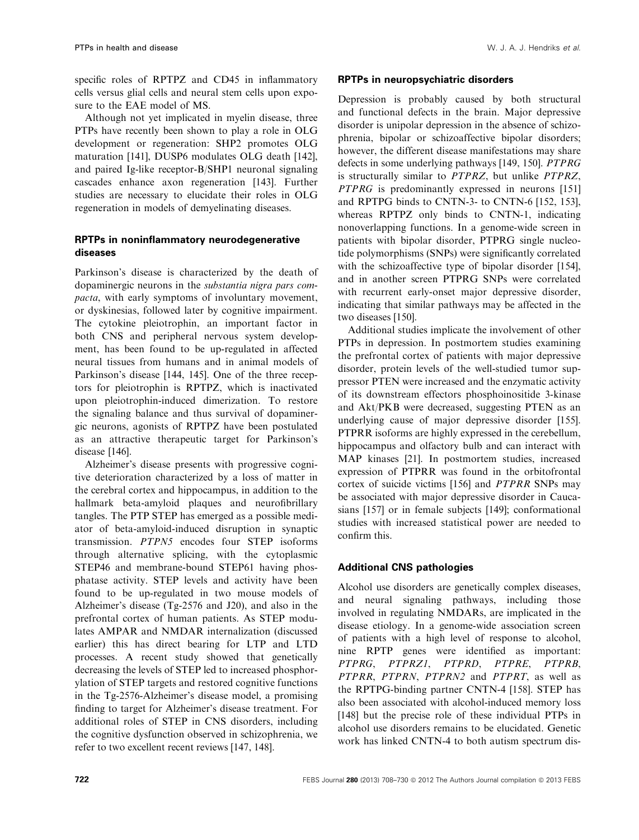specific roles of RPTPZ and CD45 in inflammatory cells versus glial cells and neural stem cells upon exposure to the EAE model of MS.

Although not yet implicated in myelin disease, three PTPs have recently been shown to play a role in OLG development or regeneration: SHP2 promotes OLG maturation [141], DUSP6 modulates OLG death [142], and paired Ig-like receptor-B/SHP1 neuronal signaling cascades enhance axon regeneration [143]. Further studies are necessary to elucidate their roles in OLG regeneration in models of demyelinating diseases.

## RPTPs in noninflammatory neurodegenerative diseases

Parkinson's disease is characterized by the death of dopaminergic neurons in the substantia nigra pars compacta, with early symptoms of involuntary movement, or dyskinesias, followed later by cognitive impairment. The cytokine pleiotrophin, an important factor in both CNS and peripheral nervous system development, has been found to be up-regulated in affected neural tissues from humans and in animal models of Parkinson's disease [144, 145]. One of the three receptors for pleiotrophin is RPTPZ, which is inactivated upon pleiotrophin-induced dimerization. To restore the signaling balance and thus survival of dopaminergic neurons, agonists of RPTPZ have been postulated as an attractive therapeutic target for Parkinson's disease [146].

Alzheimer's disease presents with progressive cognitive deterioration characterized by a loss of matter in the cerebral cortex and hippocampus, in addition to the hallmark beta-amyloid plaques and neurofibrillary tangles. The PTP STEP has emerged as a possible mediator of beta-amyloid-induced disruption in synaptic transmission. PTPN5 encodes four STEP isoforms through alternative splicing, with the cytoplasmic STEP46 and membrane-bound STEP61 having phosphatase activity. STEP levels and activity have been found to be up-regulated in two mouse models of Alzheimer's disease (Tg-2576 and J20), and also in the prefrontal cortex of human patients. As STEP modulates AMPAR and NMDAR internalization (discussed earlier) this has direct bearing for LTP and LTD processes. A recent study showed that genetically decreasing the levels of STEP led to increased phosphorylation of STEP targets and restored cognitive functions in the Tg-2576-Alzheimer's disease model, a promising finding to target for Alzheimer's disease treatment. For additional roles of STEP in CNS disorders, including the cognitive dysfunction observed in schizophrenia, we refer to two excellent recent reviews [147, 148].

#### RPTPs in neuropsychiatric disorders

Depression is probably caused by both structural and functional defects in the brain. Major depressive disorder is unipolar depression in the absence of schizophrenia, bipolar or schizoaffective bipolar disorders; however, the different disease manifestations may share defects in some underlying pathways [149, 150]. PTPRG is structurally similar to PTPRZ, but unlike PTPRZ, PTPRG is predominantly expressed in neurons [151] and RPTPG binds to CNTN-3- to CNTN-6 [152, 153], whereas RPTPZ only binds to CNTN-1, indicating nonoverlapping functions. In a genome-wide screen in patients with bipolar disorder, PTPRG single nucleotide polymorphisms (SNPs) were significantly correlated with the schizoaffective type of bipolar disorder [154], and in another screen PTPRG SNPs were correlated with recurrent early-onset major depressive disorder, indicating that similar pathways may be affected in the two diseases [150].

Additional studies implicate the involvement of other PTPs in depression. In postmortem studies examining the prefrontal cortex of patients with major depressive disorder, protein levels of the well-studied tumor suppressor PTEN were increased and the enzymatic activity of its downstream effectors phosphoinositide 3-kinase and Akt/PKB were decreased, suggesting PTEN as an underlying cause of major depressive disorder [155]. PTPRR isoforms are highly expressed in the cerebellum, hippocampus and olfactory bulb and can interact with MAP kinases [21]. In postmortem studies, increased expression of PTPRR was found in the orbitofrontal cortex of suicide victims [156] and PTPRR SNPs may be associated with major depressive disorder in Caucasians [157] or in female subjects [149]; conformational studies with increased statistical power are needed to confirm this.

## Additional CNS pathologies

Alcohol use disorders are genetically complex diseases, and neural signaling pathways, including those involved in regulating NMDARs, are implicated in the disease etiology. In a genome-wide association screen of patients with a high level of response to alcohol, nine RPTP genes were identified as important: PTPRG, PTPRZ1, PTPRD, PTPRE, PTPRB, PTPRR, PTPRN, PTPRN2 and PTPRT, as well as the RPTPG-binding partner CNTN-4 [158]. STEP has also been associated with alcohol-induced memory loss [148] but the precise role of these individual PTPs in alcohol use disorders remains to be elucidated. Genetic work has linked CNTN-4 to both autism spectrum dis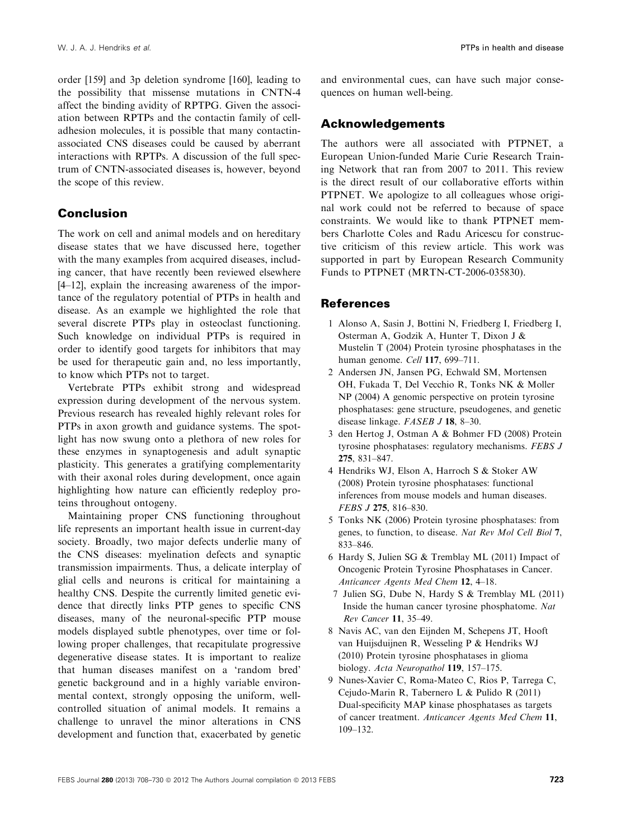order [159] and 3p deletion syndrome [160], leading to the possibility that missense mutations in CNTN-4 affect the binding avidity of RPTPG. Given the association between RPTPs and the contactin family of celladhesion molecules, it is possible that many contactinassociated CNS diseases could be caused by aberrant interactions with RPTPs. A discussion of the full spectrum of CNTN-associated diseases is, however, beyond the scope of this review.

# Conclusion

The work on cell and animal models and on hereditary disease states that we have discussed here, together with the many examples from acquired diseases, including cancer, that have recently been reviewed elsewhere [4–12], explain the increasing awareness of the importance of the regulatory potential of PTPs in health and disease. As an example we highlighted the role that several discrete PTPs play in osteoclast functioning. Such knowledge on individual PTPs is required in order to identify good targets for inhibitors that may be used for therapeutic gain and, no less importantly, to know which PTPs not to target.

Vertebrate PTPs exhibit strong and widespread expression during development of the nervous system. Previous research has revealed highly relevant roles for PTPs in axon growth and guidance systems. The spotlight has now swung onto a plethora of new roles for these enzymes in synaptogenesis and adult synaptic plasticity. This generates a gratifying complementarity with their axonal roles during development, once again highlighting how nature can efficiently redeploy proteins throughout ontogeny.

Maintaining proper CNS functioning throughout life represents an important health issue in current-day society. Broadly, two major defects underlie many of the CNS diseases: myelination defects and synaptic transmission impairments. Thus, a delicate interplay of glial cells and neurons is critical for maintaining a healthy CNS. Despite the currently limited genetic evidence that directly links PTP genes to specific CNS diseases, many of the neuronal-specific PTP mouse models displayed subtle phenotypes, over time or following proper challenges, that recapitulate progressive degenerative disease states. It is important to realize that human diseases manifest on a 'random bred' genetic background and in a highly variable environmental context, strongly opposing the uniform, wellcontrolled situation of animal models. It remains a challenge to unravel the minor alterations in CNS development and function that, exacerbated by genetic

and environmental cues, can have such major consequences on human well-being.

## Acknowledgements

The authors were all associated with PTPNET, a European Union-funded Marie Curie Research Training Network that ran from 2007 to 2011. This review is the direct result of our collaborative efforts within PTPNET. We apologize to all colleagues whose original work could not be referred to because of space constraints. We would like to thank PTPNET members Charlotte Coles and Radu Aricescu for constructive criticism of this review article. This work was supported in part by European Research Community Funds to PTPNET (MRTN-CT-2006-035830).

## **References**

- 1 Alonso A, Sasin J, Bottini N, Friedberg I, Friedberg I, Osterman A, Godzik A, Hunter T, Dixon J & Mustelin T (2004) Protein tyrosine phosphatases in the human genome. Cell 117, 699–711.
- 2 Andersen JN, Jansen PG, Echwald SM, Mortensen OH, Fukada T, Del Vecchio R, Tonks NK & Moller NP (2004) A genomic perspective on protein tyrosine phosphatases: gene structure, pseudogenes, and genetic disease linkage. FASEB J 18, 8–30.
- 3 den Hertog J, Ostman A & Bohmer FD (2008) Protein tyrosine phosphatases: regulatory mechanisms. FEBS J 275, 831–847.
- 4 Hendriks WJ, Elson A, Harroch S & Stoker AW (2008) Protein tyrosine phosphatases: functional inferences from mouse models and human diseases. FEBS J 275, 816–830.
- 5 Tonks NK (2006) Protein tyrosine phosphatases: from genes, to function, to disease. Nat Rev Mol Cell Biol 7, 833–846.
- 6 Hardy S, Julien SG & Tremblay ML (2011) Impact of Oncogenic Protein Tyrosine Phosphatases in Cancer. Anticancer Agents Med Chem 12, 4–18.
- 7 Julien SG, Dube N, Hardy S & Tremblay ML (2011) Inside the human cancer tyrosine phosphatome. Nat Rev Cancer 11, 35–49.
- 8 Navis AC, van den Eijnden M, Schepens JT, Hooft van Huijsduijnen R, Wesseling P & Hendriks WJ (2010) Protein tyrosine phosphatases in glioma biology. Acta Neuropathol 119, 157–175.
- 9 Nunes-Xavier C, Roma-Mateo C, Rios P, Tarrega C, Cejudo-Marin R, Tabernero L & Pulido R (2011) Dual-specificity MAP kinase phosphatases as targets of cancer treatment. Anticancer Agents Med Chem 11, 109–132.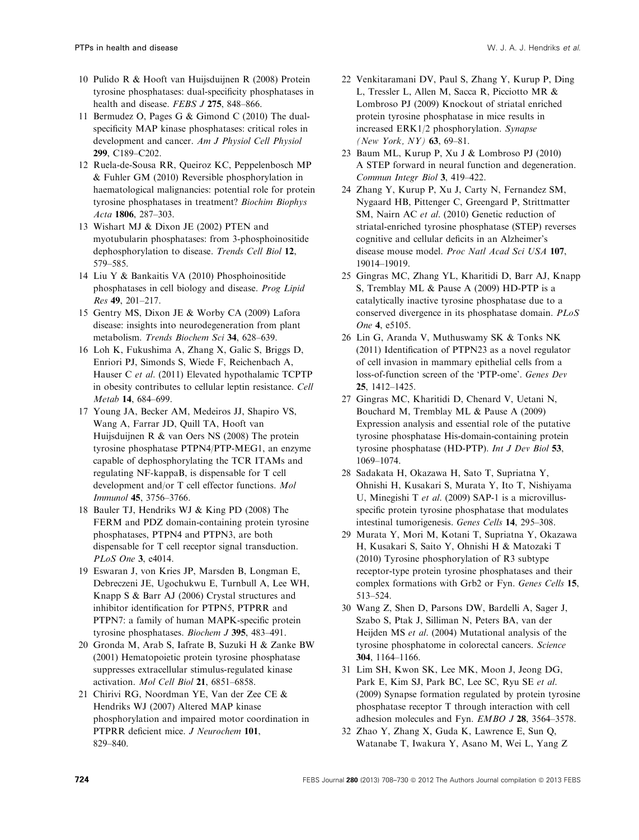- 10 Pulido R & Hooft van Huijsduijnen R (2008) Protein tyrosine phosphatases: dual-specificity phosphatases in health and disease. FEBS J 275, 848–866.
- 11 Bermudez O, Pages G & Gimond C (2010) The dualspecificity MAP kinase phosphatases: critical roles in development and cancer. Am J Physiol Cell Physiol 299, C189–C202.
- 12 Ruela-de-Sousa RR, Queiroz KC, Peppelenbosch MP & Fuhler GM (2010) Reversible phosphorylation in haematological malignancies: potential role for protein tyrosine phosphatases in treatment? Biochim Biophys Acta 1806, 287–303.
- 13 Wishart MJ & Dixon JE (2002) PTEN and myotubularin phosphatases: from 3-phosphoinositide dephosphorylation to disease. Trends Cell Biol 12, 579–585.
- 14 Liu Y & Bankaitis VA (2010) Phosphoinositide phosphatases in cell biology and disease. Prog Lipid Res 49, 201–217.
- 15 Gentry MS, Dixon JE & Worby CA (2009) Lafora disease: insights into neurodegeneration from plant metabolism. Trends Biochem Sci 34, 628–639.
- 16 Loh K, Fukushima A, Zhang X, Galic S, Briggs D, Enriori PJ, Simonds S, Wiede F, Reichenbach A, Hauser C et al. (2011) Elevated hypothalamic TCPTP in obesity contributes to cellular leptin resistance. Cell Metab 14, 684–699.
- 17 Young JA, Becker AM, Medeiros JJ, Shapiro VS, Wang A, Farrar JD, Quill TA, Hooft van Huijsduijnen R & van Oers NS (2008) The protein tyrosine phosphatase PTPN4/PTP-MEG1, an enzyme capable of dephosphorylating the TCR ITAMs and regulating NF-kappaB, is dispensable for T cell development and/or T cell effector functions. Mol Immunol 45, 3756–3766.
- 18 Bauler TJ, Hendriks WJ & King PD (2008) The FERM and PDZ domain-containing protein tyrosine phosphatases, PTPN4 and PTPN3, are both dispensable for T cell receptor signal transduction. PLoS One 3, e4014.
- 19 Eswaran J, von Kries JP, Marsden B, Longman E, Debreczeni JE, Ugochukwu E, Turnbull A, Lee WH, Knapp S & Barr AJ (2006) Crystal structures and inhibitor identification for PTPN5, PTPRR and PTPN7: a family of human MAPK-specific protein tyrosine phosphatases. Biochem J 395, 483–491.
- 20 Gronda M, Arab S, Iafrate B, Suzuki H & Zanke BW (2001) Hematopoietic protein tyrosine phosphatase suppresses extracellular stimulus-regulated kinase activation. Mol Cell Biol 21, 6851–6858.
- 21 Chirivi RG, Noordman YE, Van der Zee CE & Hendriks WJ (2007) Altered MAP kinase phosphorylation and impaired motor coordination in PTPRR deficient mice. J Neurochem 101, 829–840.
- 22 Venkitaramani DV, Paul S, Zhang Y, Kurup P, Ding L, Tressler L, Allen M, Sacca R, Picciotto MR & Lombroso PJ (2009) Knockout of striatal enriched protein tyrosine phosphatase in mice results in increased ERK1/2 phosphorylation. Synapse (New York, NY) 63, 69–81.
- 23 Baum ML, Kurup P, Xu J & Lombroso PJ (2010) A STEP forward in neural function and degeneration. Commun Integr Biol 3, 419–422.
- 24 Zhang Y, Kurup P, Xu J, Carty N, Fernandez SM, Nygaard HB, Pittenger C, Greengard P, Strittmatter SM, Nairn AC et al. (2010) Genetic reduction of striatal-enriched tyrosine phosphatase (STEP) reverses cognitive and cellular deficits in an Alzheimer's disease mouse model. Proc Natl Acad Sci USA 107, 19014–19019.
- 25 Gingras MC, Zhang YL, Kharitidi D, Barr AJ, Knapp S, Tremblay ML & Pause A (2009) HD-PTP is a catalytically inactive tyrosine phosphatase due to a conserved divergence in its phosphatase domain. PLoS One 4, e5105.
- 26 Lin G, Aranda V, Muthuswamy SK & Tonks NK (2011) Identification of PTPN23 as a novel regulator of cell invasion in mammary epithelial cells from a loss-of-function screen of the 'PTP-ome'. Genes Dev 25, 1412–1425.
- 27 Gingras MC, Kharitidi D, Chenard V, Uetani N, Bouchard M, Tremblay ML & Pause A (2009) Expression analysis and essential role of the putative tyrosine phosphatase His-domain-containing protein tyrosine phosphatase (HD-PTP). Int J Dev Biol 53, 1069–1074.
- 28 Sadakata H, Okazawa H, Sato T, Supriatna Y, Ohnishi H, Kusakari S, Murata Y, Ito T, Nishiyama U, Minegishi T et al. (2009) SAP-1 is a microvillusspecific protein tyrosine phosphatase that modulates intestinal tumorigenesis. Genes Cells 14, 295–308.
- 29 Murata Y, Mori M, Kotani T, Supriatna Y, Okazawa H, Kusakari S, Saito Y, Ohnishi H & Matozaki T (2010) Tyrosine phosphorylation of R3 subtype receptor-type protein tyrosine phosphatases and their complex formations with Grb2 or Fyn. Genes Cells 15, 513–524.
- 30 Wang Z, Shen D, Parsons DW, Bardelli A, Sager J, Szabo S, Ptak J, Silliman N, Peters BA, van der Heijden MS et al. (2004) Mutational analysis of the tyrosine phosphatome in colorectal cancers. Science 304, 1164–1166.
- 31 Lim SH, Kwon SK, Lee MK, Moon J, Jeong DG, Park E, Kim SJ, Park BC, Lee SC, Ryu SE et al. (2009) Synapse formation regulated by protein tyrosine phosphatase receptor T through interaction with cell adhesion molecules and Fyn. EMBO J 28, 3564–3578.
- 32 Zhao Y, Zhang X, Guda K, Lawrence E, Sun Q, Watanabe T, Iwakura Y, Asano M, Wei L, Yang Z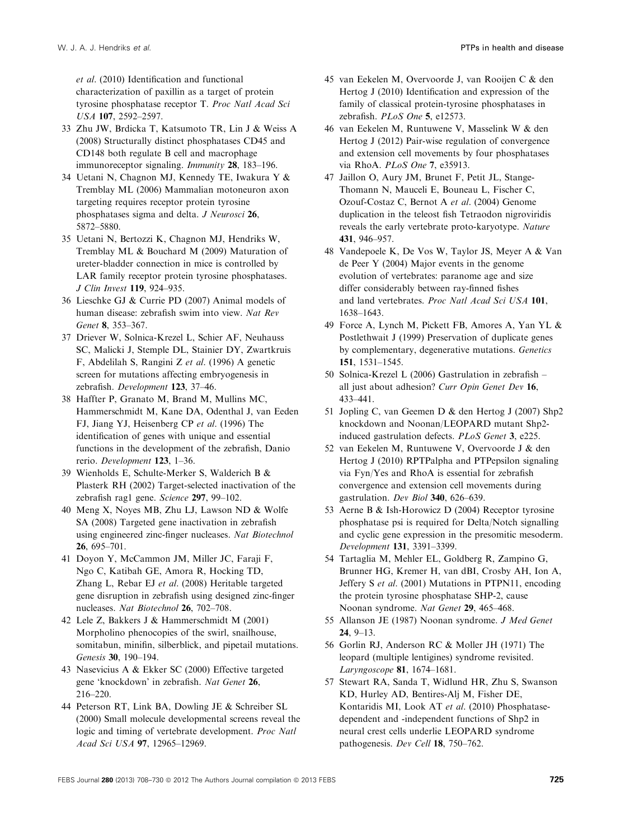et al. (2010) Identification and functional characterization of paxillin as a target of protein tyrosine phosphatase receptor T. Proc Natl Acad Sci USA 107, 2592–2597.

- 33 Zhu JW, Brdicka T, Katsumoto TR, Lin J & Weiss A (2008) Structurally distinct phosphatases CD45 and CD148 both regulate B cell and macrophage immunoreceptor signaling. Immunity 28, 183–196.
- 34 Uetani N, Chagnon MJ, Kennedy TE, Iwakura Y & Tremblay ML (2006) Mammalian motoneuron axon targeting requires receptor protein tyrosine phosphatases sigma and delta. J Neurosci 26, 5872–5880.
- 35 Uetani N, Bertozzi K, Chagnon MJ, Hendriks W, Tremblay ML & Bouchard M (2009) Maturation of ureter-bladder connection in mice is controlled by LAR family receptor protein tyrosine phosphatases. J Clin Invest 119, 924–935.
- 36 Lieschke GJ & Currie PD (2007) Animal models of human disease: zebrafish swim into view. Nat Rev Genet 8, 353–367.
- 37 Driever W, Solnica-Krezel L, Schier AF, Neuhauss SC, Malicki J, Stemple DL, Stainier DY, Zwartkruis F, Abdelilah S, Rangini Z et al. (1996) A genetic screen for mutations affecting embryogenesis in zebrafish. Development 123, 37–46.
- 38 Haffter P, Granato M, Brand M, Mullins MC, Hammerschmidt M, Kane DA, Odenthal J, van Eeden FJ, Jiang YJ, Heisenberg CP et al. (1996) The identification of genes with unique and essential functions in the development of the zebrafish, Danio rerio. Development 123, 1–36.
- 39 Wienholds E, Schulte-Merker S, Walderich B & Plasterk RH (2002) Target-selected inactivation of the zebrafish rag1 gene. Science 297, 99–102.
- 40 Meng X, Noyes MB, Zhu LJ, Lawson ND & Wolfe SA (2008) Targeted gene inactivation in zebrafish using engineered zinc-finger nucleases. Nat Biotechnol 26, 695–701.
- 41 Doyon Y, McCammon JM, Miller JC, Faraji F, Ngo C, Katibah GE, Amora R, Hocking TD, Zhang L, Rebar EJ et al. (2008) Heritable targeted gene disruption in zebrafish using designed zinc-finger nucleases. Nat Biotechnol 26, 702–708.
- 42 Lele Z, Bakkers J & Hammerschmidt M (2001) Morpholino phenocopies of the swirl, snailhouse, somitabun, minifin, silberblick, and pipetail mutations. Genesis 30, 190–194.
- 43 Nasevicius A & Ekker SC (2000) Effective targeted gene 'knockdown' in zebrafish. Nat Genet 26, 216–220.
- 44 Peterson RT, Link BA, Dowling JE & Schreiber SL (2000) Small molecule developmental screens reveal the logic and timing of vertebrate development. Proc Natl Acad Sci USA 97, 12965–12969.
- 45 van Eekelen M, Overvoorde J, van Rooijen C & den Hertog J (2010) Identification and expression of the family of classical protein-tyrosine phosphatases in zebrafish. PLoS One 5, e12573.
- 46 van Eekelen M, Runtuwene V, Masselink W & den Hertog J (2012) Pair-wise regulation of convergence and extension cell movements by four phosphatases via RhoA. PLoS One 7, e35913.
- 47 Jaillon O, Aury JM, Brunet F, Petit JL, Stange-Thomann N, Mauceli E, Bouneau L, Fischer C, Ozouf-Costaz C, Bernot A et al. (2004) Genome duplication in the teleost fish Tetraodon nigroviridis reveals the early vertebrate proto-karyotype. Nature 431, 946–957.
- 48 Vandepoele K, De Vos W, Taylor JS, Meyer A & Van de Peer Y (2004) Major events in the genome evolution of vertebrates: paranome age and size differ considerably between ray-finned fishes and land vertebrates. Proc Natl Acad Sci USA 101, 1638–1643.
- 49 Force A, Lynch M, Pickett FB, Amores A, Yan YL & Postlethwait J (1999) Preservation of duplicate genes by complementary, degenerative mutations. Genetics 151, 1531–1545.
- 50 Solnica-Krezel L (2006) Gastrulation in zebrafish all just about adhesion? Curr Opin Genet Dev 16, 433–441.
- 51 Jopling C, van Geemen D & den Hertog J (2007) Shp2 knockdown and Noonan/LEOPARD mutant Shp2 induced gastrulation defects. PLoS Genet 3, e225.
- 52 van Eekelen M, Runtuwene V, Overvoorde J & den Hertog J (2010) RPTPalpha and PTPepsilon signaling via Fyn/Yes and RhoA is essential for zebrafish convergence and extension cell movements during gastrulation. Dev Biol 340, 626–639.
- 53 Aerne B & Ish-Horowicz D (2004) Receptor tyrosine phosphatase psi is required for Delta/Notch signalling and cyclic gene expression in the presomitic mesoderm. Development 131, 3391–3399.
- 54 Tartaglia M, Mehler EL, Goldberg R, Zampino G, Brunner HG, Kremer H, van dBI, Crosby AH, Ion A, Jeffery S et al. (2001) Mutations in PTPN11, encoding the protein tyrosine phosphatase SHP-2, cause Noonan syndrome. Nat Genet 29, 465–468.
- 55 Allanson JE (1987) Noonan syndrome. J Med Genet 24, 9–13.
- 56 Gorlin RJ, Anderson RC & Moller JH (1971) The leopard (multiple lentigines) syndrome revisited. Laryngoscope 81, 1674–1681.
- 57 Stewart RA, Sanda T, Widlund HR, Zhu S, Swanson KD, Hurley AD, Bentires-Alj M, Fisher DE, Kontaridis MI, Look AT et al. (2010) Phosphatasedependent and -independent functions of Shp2 in neural crest cells underlie LEOPARD syndrome pathogenesis. Dev Cell 18, 750–762.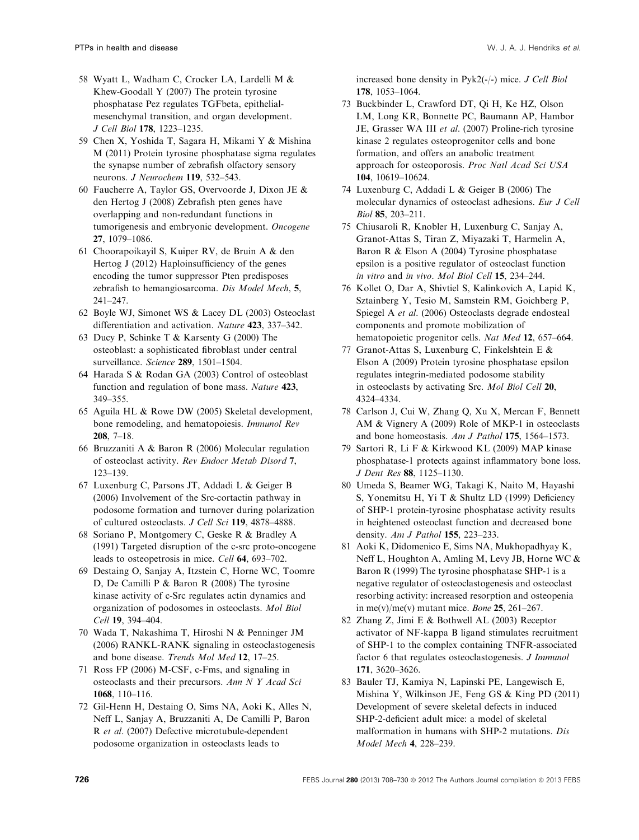- 58 Wyatt L, Wadham C, Crocker LA, Lardelli M & Khew-Goodall Y (2007) The protein tyrosine phosphatase Pez regulates TGFbeta, epithelialmesenchymal transition, and organ development. J Cell Biol 178, 1223–1235.
- 59 Chen X, Yoshida T, Sagara H, Mikami Y & Mishina M (2011) Protein tyrosine phosphatase sigma regulates the synapse number of zebrafish olfactory sensory neurons. J Neurochem 119, 532–543.
- 60 Faucherre A, Taylor GS, Overvoorde J, Dixon JE & den Hertog J (2008) Zebrafish pten genes have overlapping and non-redundant functions in tumorigenesis and embryonic development. Oncogene 27, 1079–1086.
- 61 Choorapoikayil S, Kuiper RV, de Bruin A & den Hertog J (2012) Haploinsufficiency of the genes encoding the tumor suppressor Pten predisposes zebrafish to hemangiosarcoma. Dis Model Mech, 5, 241–247.
- 62 Boyle WJ, Simonet WS & Lacey DL (2003) Osteoclast differentiation and activation. Nature 423, 337–342.
- 63 Ducy P, Schinke T & Karsenty G (2000) The osteoblast: a sophisticated fibroblast under central surveillance. Science 289, 1501-1504.
- 64 Harada S & Rodan GA (2003) Control of osteoblast function and regulation of bone mass. Nature 423, 349–355.
- 65 Aguila HL & Rowe DW (2005) Skeletal development, bone remodeling, and hematopoiesis. Immunol Rev 208, 7–18.
- 66 Bruzzaniti A & Baron R (2006) Molecular regulation of osteoclast activity. Rev Endocr Metab Disord 7, 123–139.
- 67 Luxenburg C, Parsons JT, Addadi L & Geiger B (2006) Involvement of the Src-cortactin pathway in podosome formation and turnover during polarization of cultured osteoclasts. J Cell Sci 119, 4878–4888.
- 68 Soriano P, Montgomery C, Geske R & Bradley A (1991) Targeted disruption of the c-src proto-oncogene leads to osteopetrosis in mice. Cell 64, 693–702.
- 69 Destaing O, Sanjay A, Itzstein C, Horne WC, Toomre D, De Camilli P & Baron R (2008) The tyrosine kinase activity of c-Src regulates actin dynamics and organization of podosomes in osteoclasts. Mol Biol Cell 19, 394–404.
- 70 Wada T, Nakashima T, Hiroshi N & Penninger JM (2006) RANKL-RANK signaling in osteoclastogenesis and bone disease. Trends Mol Med 12, 17–25.
- 71 Ross FP (2006) M-CSF, c-Fms, and signaling in osteoclasts and their precursors. Ann N Y Acad Sci 1068, 110–116.
- 72 Gil-Henn H, Destaing O, Sims NA, Aoki K, Alles N, Neff L, Sanjay A, Bruzzaniti A, De Camilli P, Baron R et al. (2007) Defective microtubule-dependent podosome organization in osteoclasts leads to

increased bone density in Pyk2(-/-) mice. J Cell Biol 178, 1053–1064.

- 73 Buckbinder L, Crawford DT, Qi H, Ke HZ, Olson LM, Long KR, Bonnette PC, Baumann AP, Hambor JE, Grasser WA III et al. (2007) Proline-rich tyrosine kinase 2 regulates osteoprogenitor cells and bone formation, and offers an anabolic treatment approach for osteoporosis. Proc Natl Acad Sci USA 104, 10619–10624.
- 74 Luxenburg C, Addadi L & Geiger B (2006) The molecular dynamics of osteoclast adhesions. Eur J Cell Biol 85, 203–211.
- 75 Chiusaroli R, Knobler H, Luxenburg C, Sanjay A, Granot-Attas S, Tiran Z, Miyazaki T, Harmelin A, Baron R & Elson A (2004) Tyrosine phosphatase epsilon is a positive regulator of osteoclast function in vitro and in vivo. Mol Biol Cell 15, 234–244.
- 76 Kollet O, Dar A, Shivtiel S, Kalinkovich A, Lapid K, Sztainberg Y, Tesio M, Samstein RM, Goichberg P, Spiegel A et al. (2006) Osteoclasts degrade endosteal components and promote mobilization of hematopoietic progenitor cells. Nat Med 12, 657–664.
- 77 Granot-Attas S, Luxenburg C, Finkelshtein E & Elson A (2009) Protein tyrosine phosphatase epsilon regulates integrin-mediated podosome stability in osteoclasts by activating Src. Mol Biol Cell 20, 4324–4334.
- 78 Carlson J, Cui W, Zhang Q, Xu X, Mercan F, Bennett AM & Vignery A (2009) Role of MKP-1 in osteoclasts and bone homeostasis. Am J Pathol 175, 1564–1573.
- 79 Sartori R, Li F & Kirkwood KL (2009) MAP kinase phosphatase-1 protects against inflammatory bone loss. J Dent Res 88, 1125–1130.
- 80 Umeda S, Beamer WG, Takagi K, Naito M, Hayashi S, Yonemitsu H, Yi T & Shultz LD (1999) Deficiency of SHP-1 protein-tyrosine phosphatase activity results in heightened osteoclast function and decreased bone density. Am J Pathol 155, 223–233.
- 81 Aoki K, Didomenico E, Sims NA, Mukhopadhyay K, Neff L, Houghton A, Amling M, Levy JB, Horne WC & Baron R (1999) The tyrosine phosphatase SHP-1 is a negative regulator of osteoclastogenesis and osteoclast resorbing activity: increased resorption and osteopenia in me(v)/me(v) mutant mice. *Bone* **25**, 261–267.
- 82 Zhang Z, Jimi E & Bothwell AL (2003) Receptor activator of NF-kappa B ligand stimulates recruitment of SHP-1 to the complex containing TNFR-associated factor 6 that regulates osteoclastogenesis. J Immunol 171, 3620–3626.
- 83 Bauler TJ, Kamiya N, Lapinski PE, Langewisch E, Mishina Y, Wilkinson JE, Feng GS & King PD (2011) Development of severe skeletal defects in induced SHP-2-deficient adult mice: a model of skeletal malformation in humans with SHP-2 mutations. Dis Model Mech 4, 228–239.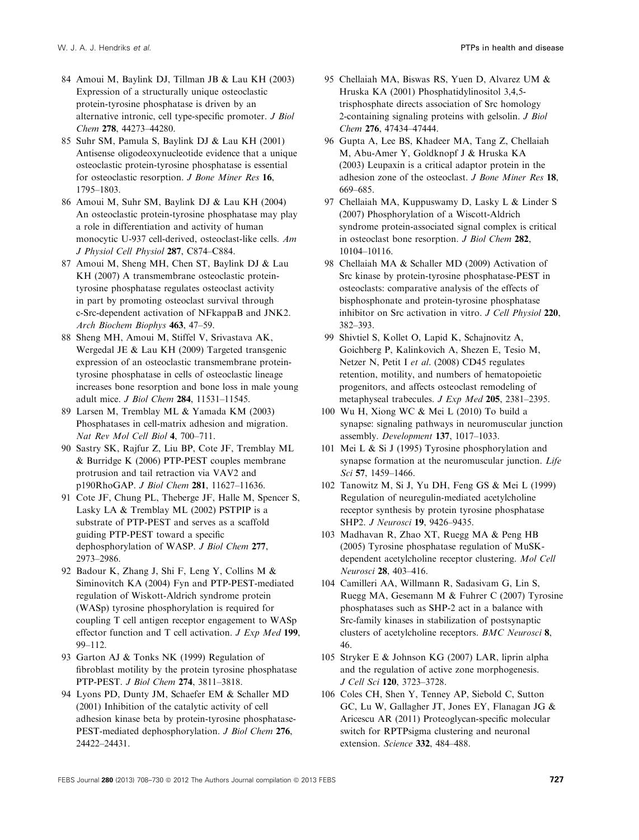- 84 Amoui M, Baylink DJ, Tillman JB & Lau KH (2003) Expression of a structurally unique osteoclastic protein-tyrosine phosphatase is driven by an alternative intronic, cell type-specific promoter. J Biol Chem 278, 44273–44280.
- 85 Suhr SM, Pamula S, Baylink DJ & Lau KH (2001) Antisense oligodeoxynucleotide evidence that a unique osteoclastic protein-tyrosine phosphatase is essential for osteoclastic resorption. J Bone Miner Res 16, 1795–1803.
- 86 Amoui M, Suhr SM, Baylink DJ & Lau KH (2004) An osteoclastic protein-tyrosine phosphatase may play a role in differentiation and activity of human monocytic U-937 cell-derived, osteoclast-like cells. Am J Physiol Cell Physiol 287, C874–C884.
- 87 Amoui M, Sheng MH, Chen ST, Baylink DJ & Lau KH (2007) A transmembrane osteoclastic proteintyrosine phosphatase regulates osteoclast activity in part by promoting osteoclast survival through c-Src-dependent activation of NFkappaB and JNK2. Arch Biochem Biophys 463, 47–59.
- 88 Sheng MH, Amoui M, Stiffel V, Srivastava AK, Wergedal JE & Lau KH (2009) Targeted transgenic expression of an osteoclastic transmembrane proteintyrosine phosphatase in cells of osteoclastic lineage increases bone resorption and bone loss in male young adult mice. J Biol Chem 284, 11531–11545.
- 89 Larsen M, Tremblay ML & Yamada KM (2003) Phosphatases in cell-matrix adhesion and migration. Nat Rev Mol Cell Biol 4, 700–711.
- 90 Sastry SK, Rajfur Z, Liu BP, Cote JF, Tremblay ML & Burridge K (2006) PTP-PEST couples membrane protrusion and tail retraction via VAV2 and p190RhoGAP. J Biol Chem 281, 11627–11636.
- 91 Cote JF, Chung PL, Theberge JF, Halle M, Spencer S, Lasky LA & Tremblay ML (2002) PSTPIP is a substrate of PTP-PEST and serves as a scaffold guiding PTP-PEST toward a specific dephosphorylation of WASP. J Biol Chem 277, 2973–2986.
- 92 Badour K, Zhang J, Shi F, Leng Y, Collins M & Siminovitch KA (2004) Fyn and PTP-PEST-mediated regulation of Wiskott-Aldrich syndrome protein (WASp) tyrosine phosphorylation is required for coupling T cell antigen receptor engagement to WASp effector function and T cell activation. J Exp Med 199, 99–112.
- 93 Garton AJ & Tonks NK (1999) Regulation of fibroblast motility by the protein tyrosine phosphatase PTP-PEST. J Biol Chem 274, 3811–3818.
- 94 Lyons PD, Dunty JM, Schaefer EM & Schaller MD (2001) Inhibition of the catalytic activity of cell adhesion kinase beta by protein-tyrosine phosphatase-PEST-mediated dephosphorylation. J Biol Chem 276, 24422–24431.
- 95 Chellaiah MA, Biswas RS, Yuen D, Alvarez UM & Hruska KA (2001) Phosphatidylinositol 3,4,5 trisphosphate directs association of Src homology 2-containing signaling proteins with gelsolin. J Biol Chem 276, 47434–47444.
- 96 Gupta A, Lee BS, Khadeer MA, Tang Z, Chellaiah M, Abu-Amer Y, Goldknopf J & Hruska KA (2003) Leupaxin is a critical adaptor protein in the adhesion zone of the osteoclast. J Bone Miner Res 18, 669–685.
- 97 Chellaiah MA, Kuppuswamy D, Lasky L & Linder S (2007) Phosphorylation of a Wiscott-Aldrich syndrome protein-associated signal complex is critical in osteoclast bone resorption. J Biol Chem 282, 10104–10116.
- 98 Chellaiah MA & Schaller MD (2009) Activation of Src kinase by protein-tyrosine phosphatase-PEST in osteoclasts: comparative analysis of the effects of bisphosphonate and protein-tyrosine phosphatase inhibitor on Src activation in vitro. J Cell Physiol 220, 382–393.
- 99 Shivtiel S, Kollet O, Lapid K, Schajnovitz A, Goichberg P, Kalinkovich A, Shezen E, Tesio M, Netzer N, Petit I et al. (2008) CD45 regulates retention, motility, and numbers of hematopoietic progenitors, and affects osteoclast remodeling of metaphyseal trabecules. J Exp Med 205, 2381–2395.
- 100 Wu H, Xiong WC & Mei L (2010) To build a synapse: signaling pathways in neuromuscular junction assembly. Development 137, 1017–1033.
- 101 Mei L & Si J (1995) Tyrosine phosphorylation and synapse formation at the neuromuscular junction. Life Sci 57, 1459–1466.
- 102 Tanowitz M, Si J, Yu DH, Feng GS & Mei L (1999) Regulation of neuregulin-mediated acetylcholine receptor synthesis by protein tyrosine phosphatase SHP2. J Neurosci 19, 9426–9435.
- 103 Madhavan R, Zhao XT, Ruegg MA & Peng HB (2005) Tyrosine phosphatase regulation of MuSKdependent acetylcholine receptor clustering. Mol Cell Neurosci 28, 403–416.
- 104 Camilleri AA, Willmann R, Sadasivam G, Lin S, Ruegg MA, Gesemann M & Fuhrer C (2007) Tyrosine phosphatases such as SHP-2 act in a balance with Src-family kinases in stabilization of postsynaptic clusters of acetylcholine receptors. BMC Neurosci 8, 46.
- 105 Stryker E & Johnson KG (2007) LAR, liprin alpha and the regulation of active zone morphogenesis. J Cell Sci 120, 3723–3728.
- 106 Coles CH, Shen Y, Tenney AP, Siebold C, Sutton GC, Lu W, Gallagher JT, Jones EY, Flanagan JG & Aricescu AR (2011) Proteoglycan-specific molecular switch for RPTPsigma clustering and neuronal extension. Science 332, 484–488.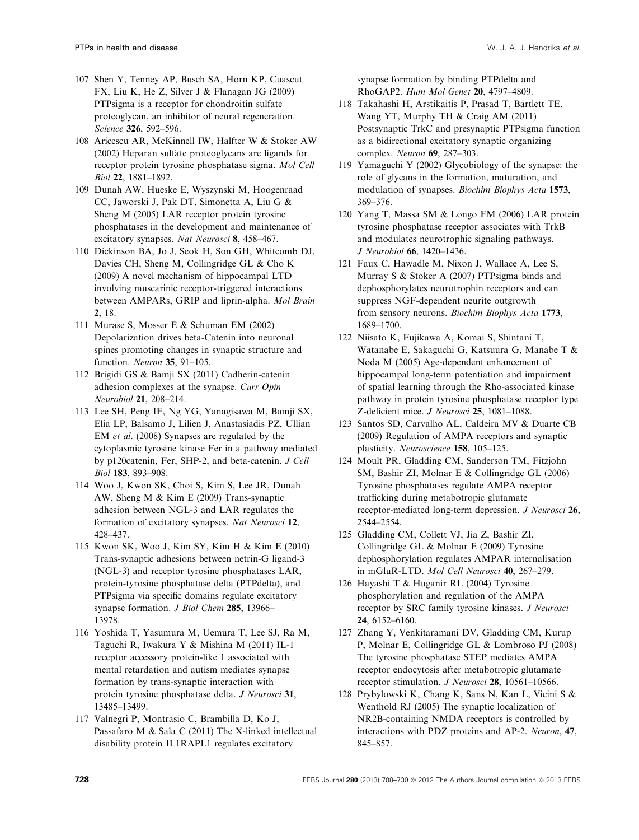- 107 Shen Y, Tenney AP, Busch SA, Horn KP, Cuascut FX, Liu K, He Z, Silver J & Flanagan JG (2009) PTPsigma is a receptor for chondroitin sulfate proteoglycan, an inhibitor of neural regeneration. Science 326, 592–596.
- 108 Aricescu AR, McKinnell IW, Halfter W & Stoker AW (2002) Heparan sulfate proteoglycans are ligands for receptor protein tyrosine phosphatase sigma. Mol Cell Biol 22, 1881–1892.
- 109 Dunah AW, Hueske E, Wyszynski M, Hoogenraad CC, Jaworski J, Pak DT, Simonetta A, Liu G & Sheng M (2005) LAR receptor protein tyrosine phosphatases in the development and maintenance of excitatory synapses. Nat Neurosci 8, 458–467.
- 110 Dickinson BA, Jo J, Seok H, Son GH, Whitcomb DJ, Davies CH, Sheng M, Collingridge GL & Cho K (2009) A novel mechanism of hippocampal LTD involving muscarinic receptor-triggered interactions between AMPARs, GRIP and liprin-alpha. Mol Brain 2, 18.
- 111 Murase S, Mosser E & Schuman EM (2002) Depolarization drives beta-Catenin into neuronal spines promoting changes in synaptic structure and function. Neuron 35, 91–105.
- 112 Brigidi GS & Bamji SX (2011) Cadherin-catenin adhesion complexes at the synapse. Curr Opin Neurobiol 21, 208–214.
- 113 Lee SH, Peng IF, Ng YG, Yanagisawa M, Bamji SX, Elia LP, Balsamo J, Lilien J, Anastasiadis PZ, Ullian EM et al. (2008) Synapses are regulated by the cytoplasmic tyrosine kinase Fer in a pathway mediated by p120catenin, Fer, SHP-2, and beta-catenin. J Cell Biol 183, 893–908.
- 114 Woo J, Kwon SK, Choi S, Kim S, Lee JR, Dunah AW, Sheng M & Kim E (2009) Trans-synaptic adhesion between NGL-3 and LAR regulates the formation of excitatory synapses. Nat Neurosci 12, 428–437.
- 115 Kwon SK, Woo J, Kim SY, Kim H & Kim E (2010) Trans-synaptic adhesions between netrin-G ligand-3 (NGL-3) and receptor tyrosine phosphatases LAR, protein-tyrosine phosphatase delta (PTPdelta), and PTPsigma via specific domains regulate excitatory synapse formation. J Biol Chem 285, 13966-13978.
- 116 Yoshida T, Yasumura M, Uemura T, Lee SJ, Ra M, Taguchi R, Iwakura Y & Mishina M (2011) IL-1 receptor accessory protein-like 1 associated with mental retardation and autism mediates synapse formation by trans-synaptic interaction with protein tyrosine phosphatase delta. J Neurosci 31, 13485–13499.
- 117 Valnegri P, Montrasio C, Brambilla D, Ko J, Passafaro M & Sala C (2011) The X-linked intellectual disability protein IL1RAPL1 regulates excitatory

synapse formation by binding PTPdelta and RhoGAP2. Hum Mol Genet 20, 4797–4809.

- 118 Takahashi H, Arstikaitis P, Prasad T, Bartlett TE, Wang YT, Murphy TH & Craig AM (2011) Postsynaptic TrkC and presynaptic PTPsigma function as a bidirectional excitatory synaptic organizing complex. Neuron 69, 287–303.
- 119 Yamaguchi Y (2002) Glycobiology of the synapse: the role of glycans in the formation, maturation, and modulation of synapses. Biochim Biophys Acta 1573, 369–376.
- 120 Yang T, Massa SM & Longo FM (2006) LAR protein tyrosine phosphatase receptor associates with TrkB and modulates neurotrophic signaling pathways. J Neurobiol 66, 1420–1436.
- 121 Faux C, Hawadle M, Nixon J, Wallace A, Lee S, Murray S & Stoker A (2007) PTPsigma binds and dephosphorylates neurotrophin receptors and can suppress NGF-dependent neurite outgrowth from sensory neurons. Biochim Biophys Acta 1773, 1689–1700.
- 122 Niisato K, Fujikawa A, Komai S, Shintani T, Watanabe E, Sakaguchi G, Katsuura G, Manabe T & Noda M (2005) Age-dependent enhancement of hippocampal long-term potentiation and impairment of spatial learning through the Rho-associated kinase pathway in protein tyrosine phosphatase receptor type Z-deficient mice. J Neurosci 25, 1081–1088.
- 123 Santos SD, Carvalho AL, Caldeira MV & Duarte CB (2009) Regulation of AMPA receptors and synaptic plasticity. Neuroscience 158, 105–125.
- 124 Moult PR, Gladding CM, Sanderson TM, Fitzjohn SM, Bashir ZI, Molnar E & Collingridge GL (2006) Tyrosine phosphatases regulate AMPA receptor trafficking during metabotropic glutamate receptor-mediated long-term depression. J Neurosci 26, 2544–2554.
- 125 Gladding CM, Collett VJ, Jia Z, Bashir ZI, Collingridge GL & Molnar E (2009) Tyrosine dephosphorylation regulates AMPAR internalisation in mGluR-LTD. Mol Cell Neurosci 40, 267–279.
- 126 Hayashi T & Huganir RL (2004) Tyrosine phosphorylation and regulation of the AMPA receptor by SRC family tyrosine kinases. J Neurosci 24, 6152–6160.
- 127 Zhang Y, Venkitaramani DV, Gladding CM, Kurup P, Molnar E, Collingridge GL & Lombroso PJ (2008) The tyrosine phosphatase STEP mediates AMPA receptor endocytosis after metabotropic glutamate receptor stimulation. *J Neurosci* 28, 10561-10566.
- 128 Prybylowski K, Chang K, Sans N, Kan L, Vicini S & Wenthold RJ (2005) The synaptic localization of NR2B-containing NMDA receptors is controlled by interactions with PDZ proteins and AP-2. Neuron, 47, 845–857.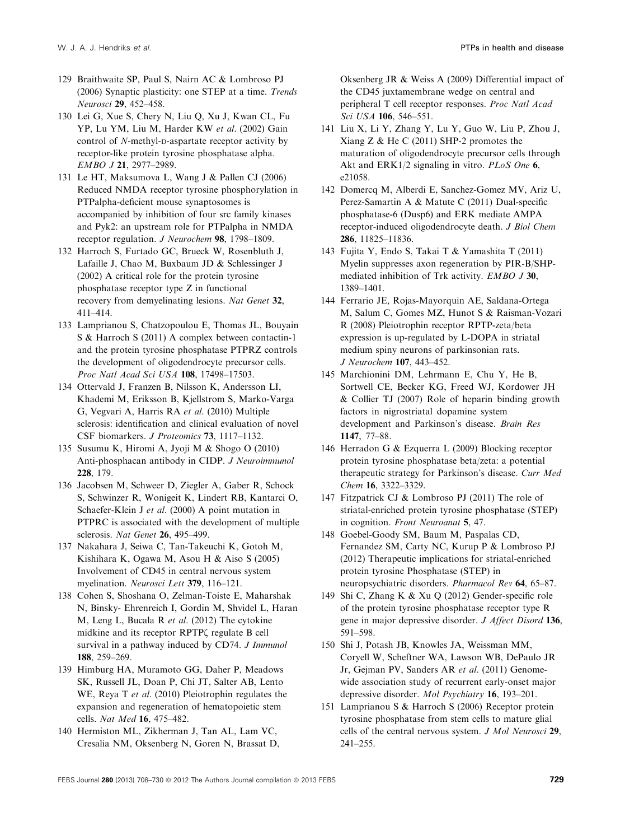- 129 Braithwaite SP, Paul S, Nairn AC & Lombroso PJ (2006) Synaptic plasticity: one STEP at a time. Trends Neurosci 29, 452–458.
- 130 Lei G, Xue S, Chery N, Liu Q, Xu J, Kwan CL, Fu YP, Lu YM, Liu M, Harder KW et al. (2002) Gain control of N-methyl-D-aspartate receptor activity by receptor-like protein tyrosine phosphatase alpha. EMBO J 21, 2977–2989.
- 131 Le HT, Maksumova L, Wang J & Pallen CJ (2006) Reduced NMDA receptor tyrosine phosphorylation in PTPalpha-deficient mouse synaptosomes is accompanied by inhibition of four src family kinases and Pyk2: an upstream role for PTPalpha in NMDA receptor regulation. J Neurochem 98, 1798–1809.
- 132 Harroch S, Furtado GC, Brueck W, Rosenbluth J, Lafaille J, Chao M, Buxbaum JD & Schlessinger J (2002) A critical role for the protein tyrosine phosphatase receptor type Z in functional recovery from demyelinating lesions. Nat Genet 32, 411–414.
- 133 Lamprianou S, Chatzopoulou E, Thomas JL, Bouyain S & Harroch S (2011) A complex between contactin-1 and the protein tyrosine phosphatase PTPRZ controls the development of oligodendrocyte precursor cells. Proc Natl Acad Sci USA 108, 17498–17503.
- 134 Ottervald J, Franzen B, Nilsson K, Andersson LI, Khademi M, Eriksson B, Kjellstrom S, Marko-Varga G, Vegvari A, Harris RA et al. (2010) Multiple sclerosis: identification and clinical evaluation of novel CSF biomarkers. J Proteomics 73, 1117–1132.
- 135 Susumu K, Hiromi A, Jyoji M & Shogo O (2010) Anti-phosphacan antibody in CIDP. J Neuroimmunol 228, 179.
- 136 Jacobsen M, Schweer D, Ziegler A, Gaber R, Schock S, Schwinzer R, Wonigeit K, Lindert RB, Kantarci O, Schaefer-Klein J et al. (2000) A point mutation in PTPRC is associated with the development of multiple sclerosis. Nat Genet 26, 495–499.
- 137 Nakahara J, Seiwa C, Tan-Takeuchi K, Gotoh M, Kishihara K, Ogawa M, Asou H & Aiso S (2005) Involvement of CD45 in central nervous system myelination. Neurosci Lett 379, 116–121.
- 138 Cohen S, Shoshana O, Zelman-Toiste E, Maharshak N, Binsky- Ehrenreich I, Gordin M, Shvidel L, Haran M, Leng L, Bucala R et al. (2012) The cytokine midkine and its receptor RPTP( regulate B cell survival in a pathway induced by CD74. J Immunol 188, 259–269.
- 139 Himburg HA, Muramoto GG, Daher P, Meadows SK, Russell JL, Doan P, Chi JT, Salter AB, Lento WE, Reya T et al. (2010) Pleiotrophin regulates the expansion and regeneration of hematopoietic stem cells. Nat Med 16, 475–482.
- 140 Hermiston ML, Zikherman J, Tan AL, Lam VC, Cresalia NM, Oksenberg N, Goren N, Brassat D,

Oksenberg JR & Weiss A (2009) Differential impact of the CD45 juxtamembrane wedge on central and peripheral T cell receptor responses. Proc Natl Acad Sci USA 106, 546–551.

- 141 Liu X, Li Y, Zhang Y, Lu Y, Guo W, Liu P, Zhou J, Xiang Z & He C (2011) SHP-2 promotes the maturation of oligodendrocyte precursor cells through Akt and ERK1/2 signaling in vitro. PLoS One 6, e21058.
- 142 Domercq M, Alberdi E, Sanchez-Gomez MV, Ariz U, Perez-Samartin A & Matute C (2011) Dual-specific phosphatase-6 (Dusp6) and ERK mediate AMPA receptor-induced oligodendrocyte death. J Biol Chem 286, 11825–11836.
- 143 Fujita Y, Endo S, Takai T & Yamashita T (2011) Myelin suppresses axon regeneration by PIR-B/SHPmediated inhibition of Trk activity. EMBO J 30, 1389–1401.
- 144 Ferrario JE, Rojas-Mayorquin AE, Saldana-Ortega M, Salum C, Gomes MZ, Hunot S & Raisman-Vozari R (2008) Pleiotrophin receptor RPTP-zeta/beta expression is up-regulated by L-DOPA in striatal medium spiny neurons of parkinsonian rats. J Neurochem 107, 443–452.
- 145 Marchionini DM, Lehrmann E, Chu Y, He B, Sortwell CE, Becker KG, Freed WJ, Kordower JH & Collier TJ (2007) Role of heparin binding growth factors in nigrostriatal dopamine system development and Parkinson's disease. Brain Res 1147, 77–88.
- 146 Herradon G & Ezquerra L (2009) Blocking receptor protein tyrosine phosphatase beta/zeta: a potential therapeutic strategy for Parkinson's disease. Curr Med Chem 16, 3322–3329.
- 147 Fitzpatrick CJ & Lombroso PJ (2011) The role of striatal-enriched protein tyrosine phosphatase (STEP) in cognition. Front Neuroanat 5, 47.
- 148 Goebel-Goody SM, Baum M, Paspalas CD, Fernandez SM, Carty NC, Kurup P & Lombroso PJ (2012) Therapeutic implications for striatal-enriched protein tyrosine Phosphatase (STEP) in neuropsychiatric disorders. Pharmacol Rev 64, 65–87.
- 149 Shi C, Zhang K & Xu Q (2012) Gender-specific role of the protein tyrosine phosphatase receptor type R gene in major depressive disorder. J Affect Disord 136, 591–598.
- 150 Shi J, Potash JB, Knowles JA, Weissman MM, Coryell W, Scheftner WA, Lawson WB, DePaulo JR Jr, Gejman PV, Sanders AR et al. (2011) Genomewide association study of recurrent early-onset major depressive disorder. Mol Psychiatry 16, 193–201.
- 151 Lamprianou S & Harroch S (2006) Receptor protein tyrosine phosphatase from stem cells to mature glial cells of the central nervous system. J Mol Neurosci 29, 241–255.